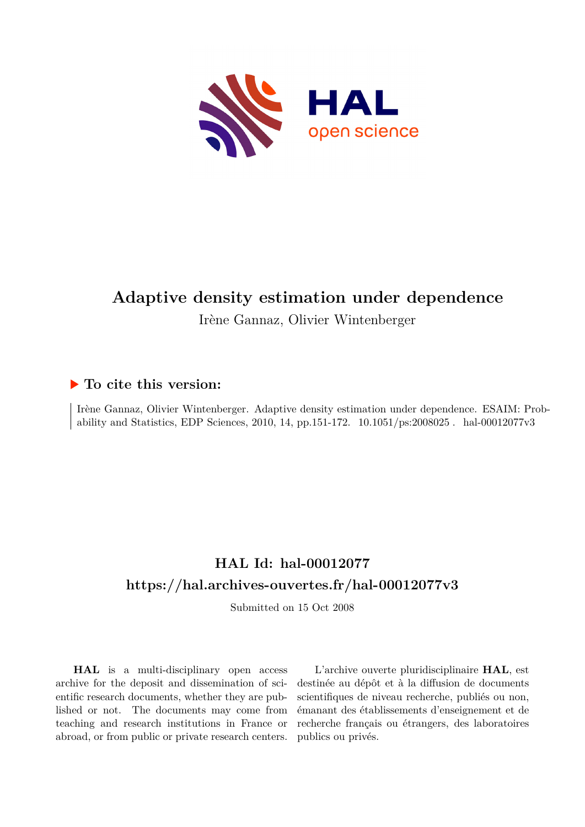

# **Adaptive density estimation under dependence**

Irène Gannaz, Olivier Wintenberger

# **To cite this version:**

Irène Gannaz, Olivier Wintenberger. Adaptive density estimation under dependence. ESAIM: Probability and Statistics, EDP Sciences, 2010, 14, pp.151-172.  $10.1051/ps:2008025$ . hal-00012077v3

# **HAL Id: hal-00012077 <https://hal.archives-ouvertes.fr/hal-00012077v3>**

Submitted on 15 Oct 2008

**HAL** is a multi-disciplinary open access archive for the deposit and dissemination of scientific research documents, whether they are published or not. The documents may come from teaching and research institutions in France or abroad, or from public or private research centers.

L'archive ouverte pluridisciplinaire **HAL**, est destinée au dépôt et à la diffusion de documents scientifiques de niveau recherche, publiés ou non, émanant des établissements d'enseignement et de recherche français ou étrangers, des laboratoires publics ou privés.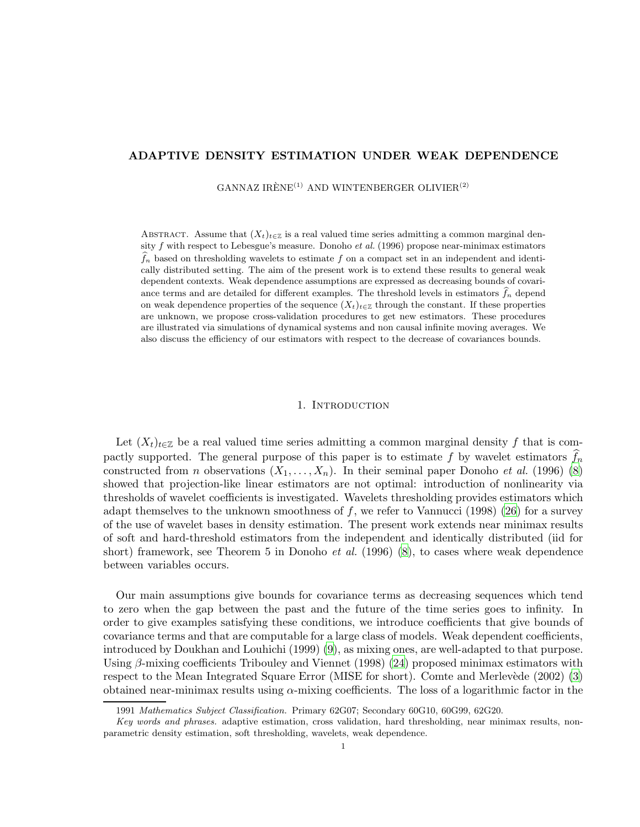## ADAPTIVE DENSITY ESTIMATION UNDER WEAK DEPENDENCE

GANNAZ IRÈNE<sup>(1)</sup> AND WINTENBERGER OLIVIER<sup>(2)</sup>

ABSTRACT. Assume that  $(X_t)_{t\in\mathbb{Z}}$  is a real valued time series admitting a common marginal density  $f$  with respect to Lebesgue's measure. Donoho et al. (1996) propose near-minimax estimators  $f_n$  based on thresholding wavelets to estimate f on a compact set in an independent and identically distributed setting. The aim of the present work is to extend these results to general weak dependent contexts. Weak dependence assumptions are expressed as decreasing bounds of covariance terms and are detailed for different examples. The threshold levels in estimators  $\hat{f}_n$  depend on weak dependence properties of the sequence  $(X_t)_{t\in\mathbb{Z}}$  through the constant. If these properties are unknown, we propose cross-validation procedures to get new estimators. These procedures are illustrated via simulations of dynamical systems and non causal infinite moving averages. We also discuss the efficiency of our estimators with respect to the decrease of covariances bounds.

#### 1. INTRODUCTION

Let  $(X_t)_{t\in\mathbb{Z}}$  be a real valued time series admitting a common marginal density f that is compactly supported. The general purpose of this paper is to estimate f by wavelet estimators  $f_n$ constructed from *n* observations  $(X_1, \ldots, X_n)$ . In their seminal paper Donoho *et al.* (1996) [\(8\)](#page-28-0) showed that projection-like linear estimators are not optimal: introduction of nonlinearity via thresholds of wavelet coefficients is investigated. Wavelets thresholding provides estimators which adapt themselves to the unknown smoothness of  $f$ , we refer to Vannucci (1998) [\(26](#page-29-0)) for a survey of the use of wavelet bases in density estimation. The present work extends near minimax results of soft and hard-threshold estimators from the independent and identically distributed (iid for short) framework, see Theorem 5 in Donoho *et al.* (1996) [\(8](#page-28-0)), to cases where weak dependence between variables occurs.

Our main assumptions give bounds for covariance terms as decreasing sequences which tend to zero when the gap between the past and the future of the time series goes to infinity. In order to give examples satisfying these conditions, we introduce coefficients that give bounds of covariance terms and that are computable for a large class of models. Weak dependent coefficients, introduced by Doukhan and Louhichi (1999) [\(9\)](#page-28-1), as mixing ones, are well-adapted to that purpose. Using β-mixing coefficients Tribouley and Viennet (1998) [\(24](#page-29-1)) proposed minimax estimators with respect to the Mean Integrated Square Error (MISE for short). Comte and Merlevède (2002) [\(3\)](#page-28-2) obtained near-minimax results using  $\alpha$ -mixing coefficients. The loss of a logarithmic factor in the

<sup>1991</sup> Mathematics Subject Classification. Primary 62G07; Secondary 60G10, 60G99, 62G20.

Key words and phrases. adaptive estimation, cross validation, hard thresholding, near minimax results, nonparametric density estimation, soft thresholding, wavelets, weak dependence.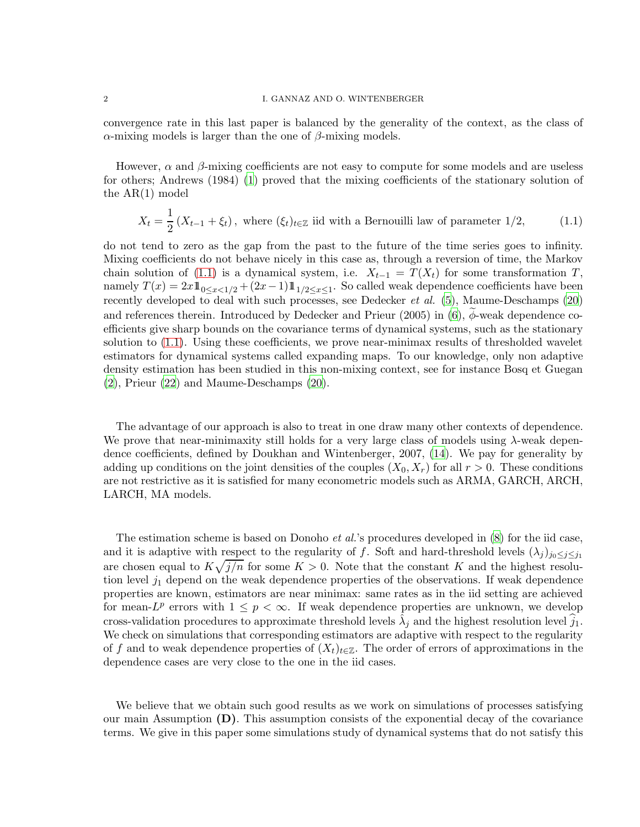#### 2 I. GANNAZ AND O. WINTENBERGER

convergence rate in this last paper is balanced by the generality of the context, as the class of  $\alpha$ -mixing models is larger than the one of  $\beta$ -mixing models.

<span id="page-2-0"></span>However,  $\alpha$  and  $\beta$ -mixing coefficients are not easy to compute for some models and are useless for others; Andrews (1984) [\(1\)](#page-28-3) proved that the mixing coefficients of the stationary solution of the AR(1) model

$$
X_t = \frac{1}{2} \left( X_{t-1} + \xi_t \right), \text{ where } (\xi_t)_{t \in \mathbb{Z}} \text{ iid with a Bernoulli law of parameter } 1/2,
$$
 (1.1)

do not tend to zero as the gap from the past to the future of the time series goes to infinity. Mixing coefficients do not behave nicely in this case as, through a reversion of time, the Markov chain solution of [\(1.1\)](#page-2-0) is a dynamical system, i.e.  $X_{t-1} = T(X_t)$  for some transformation T, namely  $T(x) = 2x \mathbb{1}_{0 \le x < 1/2} + (2x - 1) \mathbb{1}_{1/2 \le x \le 1}$ . So called weak dependence coefficients have been recently developed to deal with such processes, see Dedecker et al. [\(5\)](#page-28-4), Maume-Deschamps [\(20\)](#page-29-2) and references therein. Introduced by Dedecker and Prieur  $(2005)$  in  $(6)$ ,  $\phi$ -weak dependence coefficients give sharp bounds on the covariance terms of dynamical systems, such as the stationary solution to [\(1.1\)](#page-2-0). Using these coefficients, we prove near-minimax results of thresholded wavelet estimators for dynamical systems called expanding maps. To our knowledge, only non adaptive density estimation has been studied in this non-mixing context, see for instance Bosq et Guegan [\(2\)](#page-28-6), Prieur [\(22](#page-29-3)) and Maume-Deschamps [\(20](#page-29-2)).

The advantage of our approach is also to treat in one draw many other contexts of dependence. We prove that near-minimaxity still holds for a very large class of models using  $\lambda$ -weak dependence coefficients, defined by Doukhan and Wintenberger, 2007, [\(14\)](#page-28-7). We pay for generality by adding up conditions on the joint densities of the couples  $(X_0, X_r)$  for all  $r > 0$ . These conditions are not restrictive as it is satisfied for many econometric models such as ARMA, GARCH, ARCH, LARCH, MA models.

The estimation scheme is based on Donoho *et al.*'s procedures developed in [\(8](#page-28-0)) for the iid case, and it is adaptive with respect to the regularity of f. Soft and hard-threshold levels  $(\lambda_j)_{j_0 \leq j \leq j_1}$ are chosen equal to  $K\sqrt{j/n}$  for some  $K > 0$ . Note that the constant K and the highest resolution level  $j_1$  depend on the weak dependence properties of the observations. If weak dependence properties are known, estimators are near minimax: same rates as in the iid setting are achieved for mean- $L^p$  errors with  $1 \leq p < \infty$ . If weak dependence properties are unknown, we develop cross-validation procedures to approximate threshold levels  $\hat{\lambda}_j$  and the highest resolution level  $\hat{j}_1$ . We check on simulations that corresponding estimators are adaptive with respect to the regularity of f and to weak dependence properties of  $(X_t)_{t\in\mathbb{Z}}$ . The order of errors of approximations in the dependence cases are very close to the one in the iid cases.

We believe that we obtain such good results as we work on simulations of processes satisfying our main Assumption  $(D)$ . This assumption consists of the exponential decay of the covariance terms. We give in this paper some simulations study of dynamical systems that do not satisfy this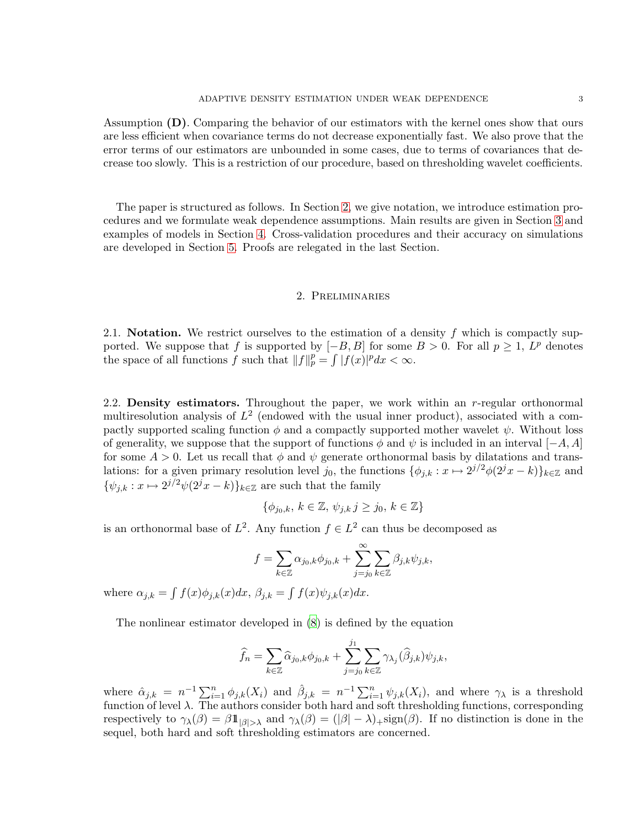Assumption (D). Comparing the behavior of our estimators with the kernel ones show that ours are less efficient when covariance terms do not decrease exponentially fast. We also prove that the error terms of our estimators are unbounded in some cases, due to terms of covariances that decrease too slowly. This is a restriction of our procedure, based on thresholding wavelet coefficients.

<span id="page-3-0"></span>The paper is structured as follows. In Section [2,](#page-3-0) we give notation, we introduce estimation procedures and we formulate weak dependence assumptions. Main results are given in Section [3](#page-4-0) and examples of models in Section [4.](#page-6-0) Cross-validation procedures and their accuracy on simulations are developed in Section [5.](#page-10-0) Proofs are relegated in the last Section.

#### 2. Preliminaries

2.1. **Notation.** We restrict ourselves to the estimation of a density f which is compactly supported. We suppose that f is supported by  $[-B, B]$  for some  $B > 0$ . For all  $p \ge 1$ ,  $L^p$  denotes the space of all functions f such that  $||f||_p^p = \int |f(x)|^p dx < \infty$ .

2.2. **Density estimators.** Throughout the paper, we work within an r-regular orthonormal multiresolution analysis of  $L^2$  (endowed with the usual inner product), associated with a compactly supported scaling function  $\phi$  and a compactly supported mother wavelet  $\psi$ . Without loss of generality, we suppose that the support of functions  $\phi$  and  $\psi$  is included in an interval [−A, A] for some  $A > 0$ . Let us recall that  $\phi$  and  $\psi$  generate orthonormal basis by dilatations and translations: for a given primary resolution level  $j_0$ , the functions  $\{\phi_{j,k}: x \mapsto 2^{j/2}\phi(2^jx - k)\}_{k \in \mathbb{Z}}$  and  $\{\psi_{j,k}: x \mapsto 2^{j/2}\psi(2^jx - k)\}_{k \in \mathbb{Z}}$  are such that the family

$$
\{\phi_{j_0,k},\,k\in\mathbb{Z},\,\psi_{j,k}\,j\geq j_0,\,k\in\mathbb{Z}\}
$$

is an orthonormal base of  $L^2$ . Any function  $f \in L^2$  can thus be decomposed as

$$
f = \sum_{k \in \mathbb{Z}} \alpha_{j_0,k} \phi_{j_0,k} + \sum_{j=j_0}^{\infty} \sum_{k \in \mathbb{Z}} \beta_{j,k} \psi_{j,k},
$$

where  $\alpha_{j,k} = \int f(x)\phi_{j,k}(x)dx$ ,  $\beta_{j,k} = \int f(x)\psi_{j,k}(x)dx$ .

The nonlinear estimator developed in [\(8\)](#page-28-0) is defined by the equation

$$
\widehat{f}_n = \sum_{k \in \mathbb{Z}} \widehat{\alpha}_{j_0,k} \phi_{j_0,k} + \sum_{j=j_0}^{j_1} \sum_{k \in \mathbb{Z}} \gamma_{\lambda_j}(\widehat{\beta}_{j,k}) \psi_{j,k},
$$

where  $\hat{\alpha}_{j,k} = n^{-1} \sum_{i=1}^n \phi_{j,k}(X_i)$  and  $\hat{\beta}_{j,k} = n^{-1} \sum_{i=1}^n \psi_{j,k}(X_i)$ , and where  $\gamma_\lambda$  is a threshold function of level  $\lambda$ . The authors consider both hard and soft thresholding functions, corresponding respectively to  $\gamma_{\lambda}(\beta) = \beta \mathbb{1}_{|\beta| > \lambda}$  and  $\gamma_{\lambda}(\beta) = (|\beta| - \lambda)_{+}$ sign( $\beta$ ). If no distinction is done in the sequel, both hard and soft thresholding estimators are concerned.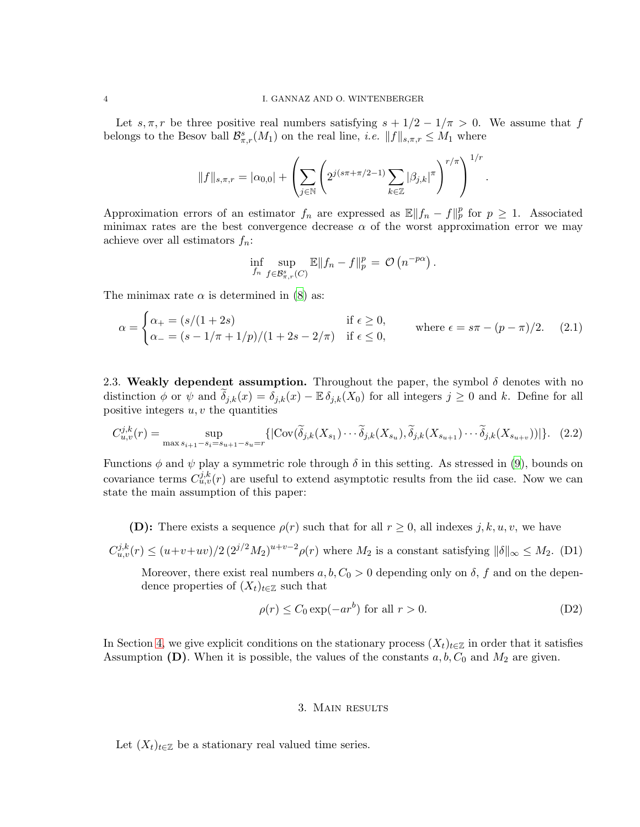Let s,  $\pi$ , r be three positive real numbers satisfying  $s + 1/2 - 1/\pi > 0$ . We assume that f belongs to the Besov ball  $\mathcal{B}_{\pi,r}^s(M_1)$  on the real line, *i.e.*  $||f||_{s,\pi,r} \leq M_1$  where

$$
||f||_{s,\pi,r} = |\alpha_{0,0}| + \left(\sum_{j\in\mathbb{N}} \left(2^{j(s\pi + \pi/2 - 1)} \sum_{k\in\mathbb{Z}} |\beta_{j,k}|^{\pi}\right)^{r/\pi}\right)^{1/r}.
$$

Approximation errors of an estimator  $f_n$  are expressed as  $\mathbb{E} ||f_n - f||_p^p$  for  $p \geq 1$ . Associated minimax rates are the best convergence decrease  $\alpha$  of the worst approximation error we may achieve over all estimators  $f_n$ :

<span id="page-4-1"></span>
$$
\inf_{f_n} \sup_{f \in \mathcal{B}_{\pi,r}^s(C)} \mathbb{E} \|f_n - f\|_p^p = \mathcal{O}\left(n^{-p\alpha}\right).
$$

The minimax rate  $\alpha$  is determined in [\(8](#page-28-0)) as:

$$
\alpha = \begin{cases} \alpha_+ = (s/(1+2s)) & \text{if } \epsilon \ge 0, \\ \alpha_- = (s-1/\pi+1/p)/(1+2s-2/\pi) & \text{if } \epsilon \le 0, \end{cases}
$$
 where  $\epsilon = s\pi - (p-\pi)/2$ . (2.1)

2.3. Weakly dependent assumption. Throughout the paper, the symbol  $\delta$  denotes with no distinction  $\phi$  or  $\psi$  and  $\tilde{\delta}_{j,k}(x) = \delta_{j,k}(x) - \mathbb{E} \delta_{j,k}(X_0)$  for all integers  $j \geq 0$  and k. Define for all positive integers  $u, v$  the quantities

$$
C_{u,v}^{j,k}(r) = \sup_{\max s_{i+1}-s_i=s_{u+1}-s_u=r} \{ |\text{Cov}(\widetilde{\delta}_{j,k}(X_{s_1})\cdots\widetilde{\delta}_{j,k}(X_{s_u}), \widetilde{\delta}_{j,k}(X_{s_{u+1}})\cdots\widetilde{\delta}_{j,k}(X_{s_{u+v}}))| \}.
$$
 (2.2)

Functions  $\phi$  and  $\psi$  play a symmetric role through  $\delta$  in this setting. As stressed in [\(9](#page-28-1)), bounds on covariance terms  $C_{u,v}^{j,k}(r)$  are useful to extend asymptotic results from the iid case. Now we can state the main assumption of this paper:

(D): There exists a sequence  $\rho(r)$  such that for all  $r \geq 0$ , all indexes j, k, u, v, we have

<span id="page-4-2"></span> $C_{u,v}^{j,k}(r) \le (u+v+uv)/2 (2^{j/2}M_2)^{u+v-2}\rho(r)$  where  $M_2$  is a constant satisfying  $\|\delta\|_{\infty} \le M_2$ . (D1)

<span id="page-4-3"></span>Moreover, there exist real numbers  $a, b, C_0 > 0$  depending only on  $\delta$ , f and on the dependence properties of  $(X_t)_{t\in\mathbb{Z}}$  such that

$$
\rho(r) \le C_0 \exp(-ar^b) \text{ for all } r > 0. \tag{D2}
$$

<span id="page-4-0"></span>In Section [4,](#page-6-0) we give explicit conditions on the stationary process  $(X_t)_{t\in\mathbb{Z}}$  in order that it satisfies Assumption (D). When it is possible, the values of the constants  $a, b, C_0$  and  $M_2$  are given.

#### 3. Main results

Let  $(X_t)_{t\in\mathbb{Z}}$  be a stationary real valued time series.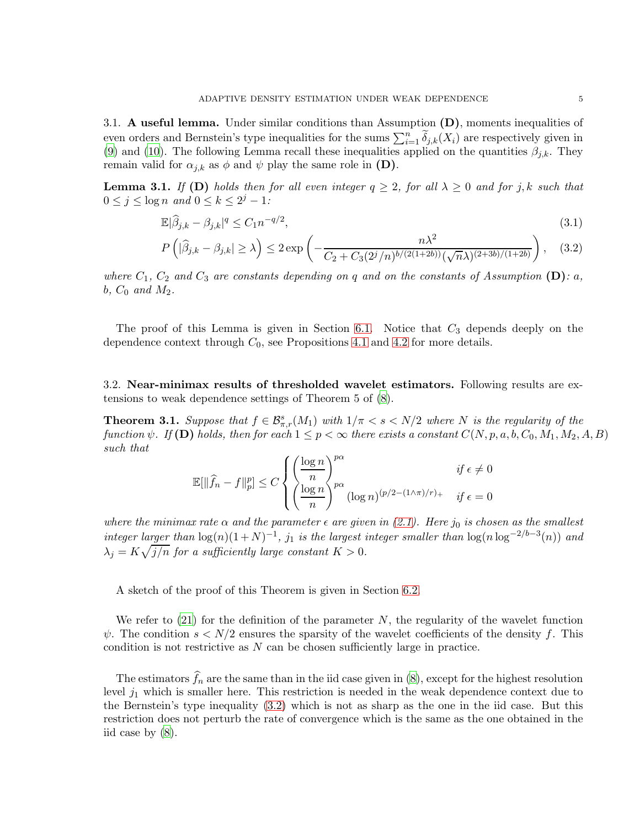3.1. A useful lemma. Under similar conditions than Assumption  $(D)$ , moments inequalities of even orders and Bernstein's type inequalities for the sums  $\sum_{i=1}^{n} \widetilde{\delta}_{j,k}(X_i)$  are respectively given in [\(9\)](#page-28-1) and [\(10\)](#page-28-8). The following Lemma recall these inequalities applied on the quantities  $\beta_{j,k}$ . They remain valid for  $\alpha_{j,k}$  as  $\phi$  and  $\psi$  play the same role in (D).

<span id="page-5-2"></span><span id="page-5-0"></span>**Lemma 3.1.** If (D) holds then for all even integer  $q \geq 2$ , for all  $\lambda \geq 0$  and for j, k such that  $0 \leq j \leq \log n$  and  $0 \leq k \leq 2^j - 1$ :

$$
\mathbb{E}|\widehat{\beta}_{j,k} - \beta_{j,k}|^q \le C_1 n^{-q/2},\tag{3.1}
$$

$$
P\left(|\widehat{\beta}_{j,k} - \beta_{j,k}| \ge \lambda\right) \le 2 \exp\left(-\frac{n\lambda^2}{C_2 + C_3(2^j/n)^{b/(2(1+2b))}(\sqrt{n}\lambda)^{(2+3b)/(1+2b)}}\right), \quad (3.2)
$$

where  $C_1$ ,  $C_2$  and  $C_3$  are constants depending on q and on the constants of Assumption (D): a, b,  $C_0$  and  $M_2$ .

The proof of this Lemma is given in Section [6.1.](#page-18-0) Notice that  $C_3$  depends deeply on the dependence context through  $C_0$ , see Propositions [4.1](#page-7-0) and [4.2](#page-9-0) for more details.

<span id="page-5-1"></span>3.2. Near-minimax results of thresholded wavelet estimators. Following results are extensions to weak dependence settings of Theorem 5 of [\(8\)](#page-28-0).

**Theorem 3.1.** Suppose that  $f \in \mathcal{B}_{\pi,r}^s(M_1)$  with  $1/\pi < s < N/2$  where N is the regularity of the function  $\psi$ . If (D) holds, then for each  $1 \leq p < \infty$  there exists a constant  $C(N, p, a, b, C_0, M_1, M_2, A, B)$ such that

$$
\mathbb{E}[\|\widehat{f}_n - f\|_p^p] \le C \begin{cases} \left(\frac{\log n}{n}\right)^{p\alpha} & \text{if } \epsilon \ne 0\\ \left(\frac{\log n}{n}\right)^{p\alpha} (\log n)^{(p/2 - (1/\pi)/r)} & \text{if } \epsilon = 0 \end{cases}
$$

where the minimax rate  $\alpha$  and the parameter  $\epsilon$  are given in [\(2.1\)](#page-4-1). Here  $j_0$  is chosen as the smallest integer larger than  $\log(n)(1+N)^{-1}$ , j<sub>1</sub> is the largest integer smaller than  $\log(n \log^{-2/b-3}(n))$  and  $\lambda_j = K \sqrt{j/n}$  for a sufficiently large constant  $K > 0$ .

A sketch of the proof of this Theorem is given in Section [6.2.](#page-20-0)

We refer to  $(21)$  for the definition of the parameter N, the regularity of the wavelet function  $\psi$ . The condition  $s < N/2$  ensures the sparsity of the wavelet coefficients of the density f. This condition is not restrictive as  $N$  can be chosen sufficiently large in practice.

The estimators  $f_n$  are the same than in the iid case given in [\(8](#page-28-0)), except for the highest resolution level  $j_1$  which is smaller here. This restriction is needed in the weak dependence context due to the Bernstein's type inequality [\(3.2\)](#page-5-0) which is not as sharp as the one in the iid case. But this restriction does not perturb the rate of convergence which is the same as the one obtained in the iid case by [\(8\)](#page-28-0).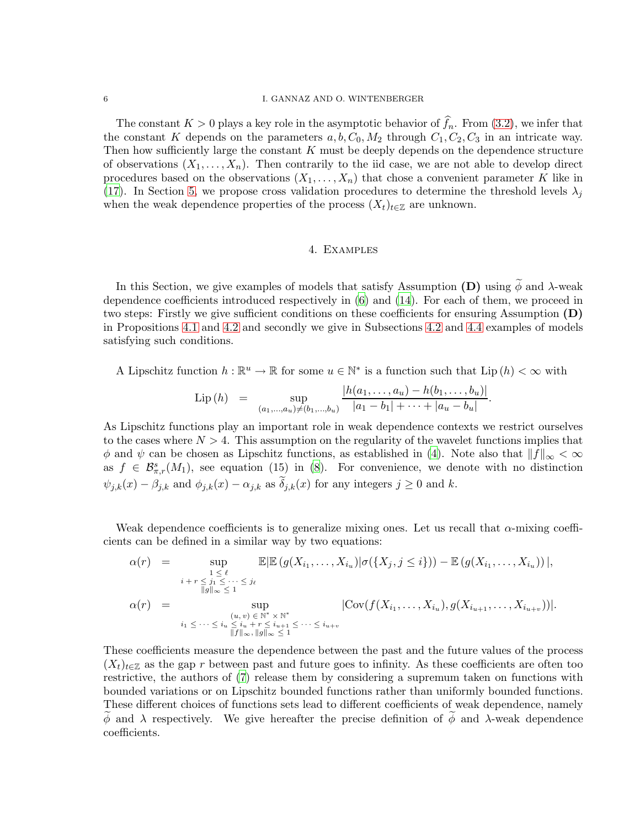#### 6 I. GANNAZ AND O. WINTENBERGER

The constant  $K > 0$  plays a key role in the asymptotic behavior of  $f_n$ . From [\(3.2\)](#page-5-0), we infer that the constant K depends on the parameters  $a, b, C_0, M_2$  through  $C_1, C_2, C_3$  in an intricate way. Then how sufficiently large the constant K must be deeply depends on the dependence structure of observations  $(X_1, \ldots, X_n)$ . Then contrarily to the iid case, we are not able to develop direct procedures based on the observations  $(X_1, \ldots, X_n)$  that chose a convenient parameter K like in [\(17](#page-29-5)). In Section [5,](#page-10-0) we propose cross validation procedures to determine the threshold levels  $\lambda_i$ when the weak dependence properties of the process  $(X_t)_{t\in\mathbb{Z}}$  are unknown.

### 4. Examples

<span id="page-6-0"></span>In this Section, we give examples of models that satisfy Assumption (D) using  $\widetilde{\phi}$  and  $\lambda$ -weak dependence coefficients introduced respectively in [\(6\)](#page-28-5) and [\(14](#page-28-7)). For each of them, we proceed in two steps: Firstly we give sufficient conditions on these coefficients for ensuring Assumption  $(D)$ in Propositions [4.1](#page-7-0) and [4.2](#page-9-0) and secondly we give in Subsections [4.2](#page-7-1) and [4.4](#page-9-1) examples of models satisfying such conditions.

A Lipschitz function  $h : \mathbb{R}^u \to \mathbb{R}$  for some  $u \in \mathbb{N}^*$  is a function such that  $\text{Lip}(h) < \infty$  with

$$
\text{Lip}(h) = \sup_{(a_1,...,a_u) \neq (b_1,...,b_u)} \frac{|h(a_1,...,a_u) - h(b_1,...,b_u)|}{|a_1 - b_1| + \cdots + |a_u - b_u|}.
$$

As Lipschitz functions play an important role in weak dependence contexts we restrict ourselves to the cases where  $N > 4$ . This assumption on the regularity of the wavelet functions implies that  $\phi$  and  $\psi$  can be chosen as Lipschitz functions, as established in [\(4](#page-28-9)). Note also that  $||f||_{\infty} < \infty$ as  $f \in \mathcal{B}_{\pi,r}^s(M_1)$ , see equation (15) in [\(8](#page-28-0)). For convenience, we denote with no distinction  $\psi_{j,k}(x) - \beta_{j,k}$  and  $\phi_{j,k}(x) - \alpha_{j,k}$  as  $\delta_{j,k}(x)$  for any integers  $j \geq 0$  and k.

Weak dependence coefficients is to generalize mixing ones. Let us recall that  $\alpha$ -mixing coefficients can be defined in a similar way by two equations:

$$
\alpha(r) = \sup_{\substack{1 \leq \ell \\ \|\mathcal{G}\|_{\infty} \leq 1}} \mathbb{E}|\mathbb{E}\left(g(X_{i_1},\ldots,X_{i_u})|\sigma(\{X_j,j\leq i\})\right) - \mathbb{E}\left(g(X_{i_1},\ldots,X_{i_u})\right)|,
$$
\n
$$
\alpha(r) = \sup_{\substack{(u,v)\in \mathbb{N}^* \times \mathbb{N}^* \\ \|f\|_{\infty}, \|g\|_{\infty} \leq 1}} |\text{Cov}(f(X_{i_1},\ldots,X_{i_u}),g(X_{i_{u+1}},\ldots,X_{i_{u+v}}))|.
$$

These coefficients measure the dependence between the past and the future values of the process  $(X_t)_{t\in\mathbb{Z}}$  as the gap r between past and future goes to infinity. As these coefficients are often too restrictive, the authors of [\(7](#page-28-10)) release them by considering a supremum taken on functions with bounded variations or on Lipschitz bounded functions rather than uniformly bounded functions. These different choices of functions sets lead to different coefficients of weak dependence, namely  $\phi$  and  $\lambda$  respectively. We give hereafter the precise definition of  $\phi$  and  $\lambda$ -weak dependence coefficients.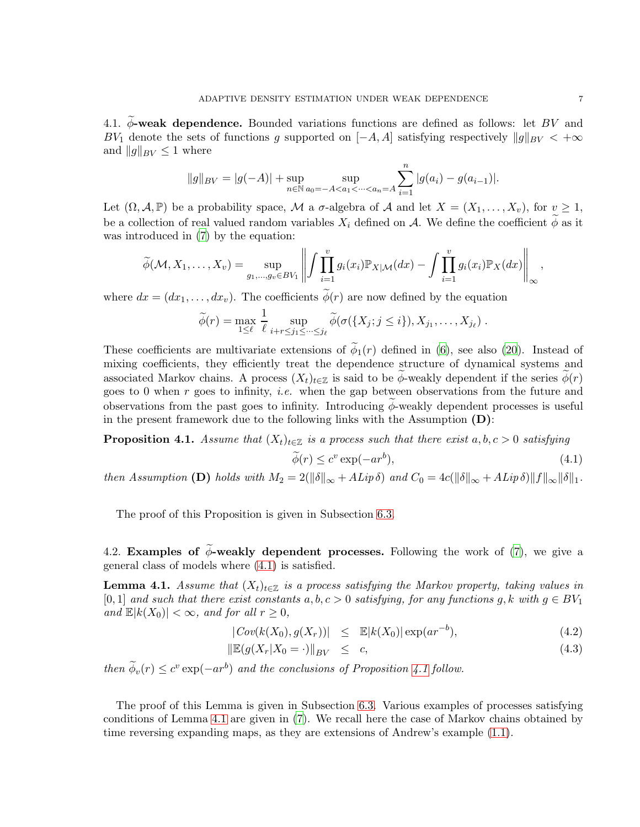4.1.  $\phi$ -weak dependence. Bounded variations functions are defined as follows: let BV and BV<sub>1</sub> denote the sets of functions g supported on  $[-A, A]$  satisfying respectively  $||g||_{BV} < +\infty$ and  $||g||_{BV} \leq 1$  where

$$
||g||_{BV} = |g(-A)| + \sup_{n \in \mathbb{N}} \sup_{a_0 = -A < a_1 < \dots < a_n = A} \sum_{i=1}^n |g(a_i) - g(a_{i-1})|.
$$

Let  $(\Omega, \mathcal{A}, \mathbb{P})$  be a probability space, M a  $\sigma$ -algebra of A and let  $X = (X_1, \ldots, X_v)$ , for  $v \ge 1$ , be a collection of real valued random variables  $X_i$  defined on A. We define the coefficient  $\phi$  as it was introduced in  $(7)$  by the equation:

$$
\widetilde{\phi}(\mathcal{M}, X_1, \dots, X_v) = \sup_{g_1, \dots, g_v \in BV_1} \left\| \int \prod_{i=1}^v g_i(x_i) \mathbb{P}_{X|\mathcal{M}}(dx) - \int \prod_{i=1}^v g_i(x_i) \mathbb{P}_X(dx) \right\|_{\infty},
$$

where  $dx = (dx_1, \ldots, dx_v)$ . The coefficients  $\widetilde{\phi}(r)$  are now defined by the equation

<span id="page-7-2"></span>
$$
\widetilde{\phi}(r) = \max_{1 \leq \ell} \frac{1}{\ell} \sup_{i+r \leq j_1 \leq \dots \leq j_\ell} \widetilde{\phi}(\sigma(\{X_j; j \leq i\}), X_{j_1}, \dots, X_{j_\ell}).
$$

These coefficients are multivariate extensions of  $\phi_1(r)$  defined in [\(6\)](#page-28-5), see also [\(20](#page-29-2)). Instead of mixing coefficients, they efficiently treat the dependence structure of dynamical systems and associated Markov chains. A process  $(X_t)_{t\in\mathbb{Z}}$  is said to be  $\phi$ -weakly dependent if the series  $\phi(r)$ goes to 0 when r goes to infinity, *i.e.* when the gap between observations from the future and observations from the past goes to infinity. Introducing  $\phi$ -weakly dependent processes is useful in the present framework due to the following links with the Assumption (D):

<span id="page-7-0"></span>**Proposition 4.1.** Assume that 
$$
(X_t)_{t \in \mathbb{Z}}
$$
 is a process such that there exist  $a, b, c > 0$  satisfying  

$$
\widetilde{\phi}(r) \leq c^v \exp(-ar^b),
$$
 (4.1)

then Assumption (D) holds with  $M_2 = 2(||\delta||_{\infty} + ALip \delta)$  and  $C_0 = 4c(||\delta||_{\infty} + ALip \delta) ||f||_{\infty} ||\delta||_1$ .

The proof of this Proposition is given in Subsection [6.3.](#page-25-0)

<span id="page-7-3"></span><span id="page-7-1"></span>4.2. Examples of  $\phi$ -weakly dependent processes. Following the work of [\(7](#page-28-10)), we give a general class of models where [\(4.1\)](#page-7-2) is satisfied.

**Lemma 4.1.** Assume that  $(X_t)_{t\in\mathbb{Z}}$  is a process satisfying the Markov property, taking values in [0, 1] and such that there exist constants  $a, b, c > 0$  satisfying, for any functions g, k with  $g \in BV_1$ and  $\mathbb{E}|k(X_0)| < \infty$ , and for all  $r \geq 0$ ,

$$
|\operatorname{Cov}(k(X_0), g(X_r))| \leq \mathbb{E}|k(X_0)| \exp(ar^{-b}), \tag{4.2}
$$

$$
\|\mathbb{E}(g(X_r|X_0=\cdot)\|_{BV} \leq c,\tag{4.3}
$$

<span id="page-7-4"></span>then  $\phi_v(r) \leq c^v \exp(-ar^b)$  and the conclusions of Proposition [4.1](#page-7-0) follow.

The proof of this Lemma is given in Subsection [6.3.](#page-25-0) Various examples of processes satisfying conditions of Lemma [4.1](#page-7-3) are given in [\(7\)](#page-28-10). We recall here the case of Markov chains obtained by time reversing expanding maps, as they are extensions of Andrew's example [\(1.1\)](#page-2-0).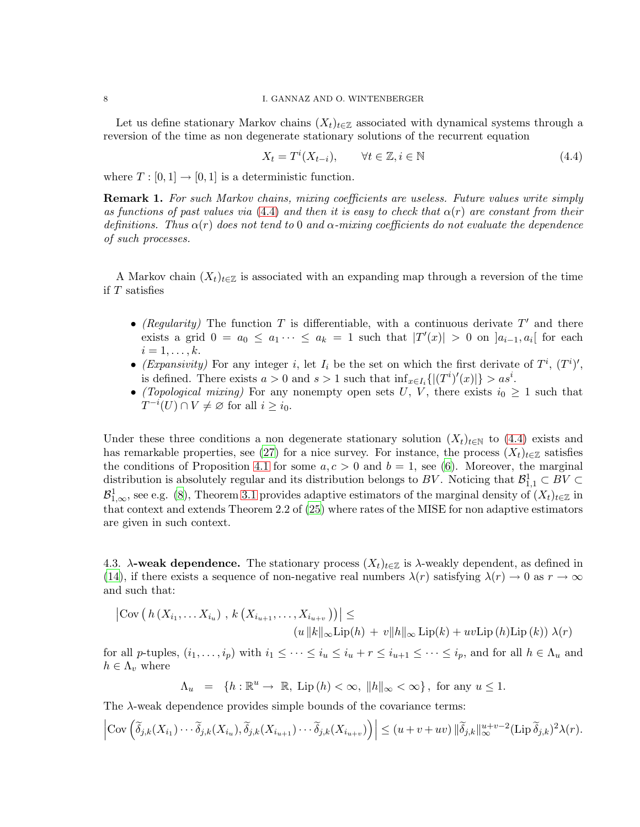Let us define stationary Markov chains  $(X_t)_{t\in\mathbb{Z}}$  associated with dynamical systems through a reversion of the time as non degenerate stationary solutions of the recurrent equation

<span id="page-8-0"></span>
$$
X_t = T^i(X_{t-i}), \qquad \forall t \in \mathbb{Z}, i \in \mathbb{N}
$$
\n
$$
(4.4)
$$

where  $T : [0, 1] \rightarrow [0, 1]$  is a deterministic function.

**Remark 1.** For such Markov chains, mixing coefficients are useless. Future values write simply as functions of past values via [\(4.4\)](#page-8-0) and then it is easy to check that  $\alpha(r)$  are constant from their definitions. Thus  $\alpha(r)$  does not tend to 0 and  $\alpha$ -mixing coefficients do not evaluate the dependence of such processes.

A Markov chain  $(X_t)_{t\in\mathbb{Z}}$  is associated with an expanding map through a reversion of the time if  $T$  satisfies

- (Regularity) The function T is differentiable, with a continuous derivate  $T'$  and there exists a grid  $0 = a_0 \le a_1 \cdots \le a_k = 1$  such that  $|T'(x)| > 0$  on  $]a_{i-1}, a_i[$  for each  $i=1,\ldots,k$ .
- (Expansivity) For any integer i, let  $I_i$  be the set on which the first derivate of  $T^i$ ,  $(T^i)'$ , is defined. There exists  $a > 0$  and  $s > 1$  such that  $\inf_{x \in I_i} \{|(T^i)'(x)|\} > as^i$ .
- (Topological mixing) For any nonempty open sets U, V, there exists  $i_0 \geq 1$  such that  $T^{-i}(U) \cap V \neq \varnothing$  for all  $i \geq i_0$ .

Under these three conditions a non degenerate stationary solution  $(X_t)_{t\in\mathbb{N}}$  to [\(4.4\)](#page-8-0) exists and has remarkable properties, see [\(27\)](#page-29-6) for a nice survey. For instance, the process  $(X_t)_{t\in\mathbb{Z}}$  satisfies the conditions of Proposition [4.1](#page-7-3) for some  $a, c > 0$  and  $b = 1$ , see [\(6](#page-28-5)). Moreover, the marginal distribution is absolutely regular and its distribution belongs to BV. Noticing that  $\mathcal{B}^1_{1,1} \subset BV \subset \mathcal{B}$  $\mathcal{B}^1_{1,\infty}$ , see e.g. [\(8](#page-28-0)), Theorem [3.1](#page-5-1) provides adaptive estimators of the marginal density of  $(X_t)_{t\in\mathbb{Z}}$  in that context and extends Theorem 2.2 of [\(25\)](#page-29-7) where rates of the MISE for non adaptive estimators are given in such context.

4.3.  $\lambda$ -weak dependence. The stationary process  $(X_t)_{t\in\mathbb{Z}}$  is  $\lambda$ -weakly dependent, as defined in [\(14](#page-28-7)), if there exists a sequence of non-negative real numbers  $\lambda(r)$  satisfying  $\lambda(r) \to 0$  as  $r \to \infty$ and such that:

$$
\left| \text{Cov}\left(h\left(X_{i_1},\ldots X_{i_u}\right), k\left(X_{i_{u+1}},\ldots,X_{i_{u+v}}\right)\right) \right| \le
$$

$$
(u ||k||_{\infty} \text{Lip}(h) + v ||h||_{\infty} \text{Lip}(k) + uv \text{Lip}(h) \text{Lip}(k)) \lambda(r)
$$

for all p-tuples,  $(i_1,\ldots,i_p)$  with  $i_1 \leq \cdots \leq i_u \leq i_u + r \leq i_{u+1} \leq \cdots \leq i_p$ , and for all  $h \in \Lambda_u$  and  $h \in \Lambda_v$  where

 $\Lambda_u = \{h : \mathbb{R}^u \to \mathbb{R}, \text{ Lip } (h) < \infty, \ \|h\|_{\infty} < \infty \}, \text{ for any } u \leq 1.$ 

The  $\lambda$ -weak dependence provides simple bounds of the covariance terms:

$$
\left|\text{Cov}\left(\widetilde{\delta}_{j,k}(X_{i_1})\cdots\widetilde{\delta}_{j,k}(X_{i_u}),\widetilde{\delta}_{j,k}(X_{i_{u+1}})\cdots\widetilde{\delta}_{j,k}(X_{i_{u+v}})\right)\right| \leq (u+v+uv)\|\widetilde{\delta}_{j,k}\|_{\infty}^{u+v-2}(\text{Lip}\,\widetilde{\delta}_{j,k})^2\lambda(r).
$$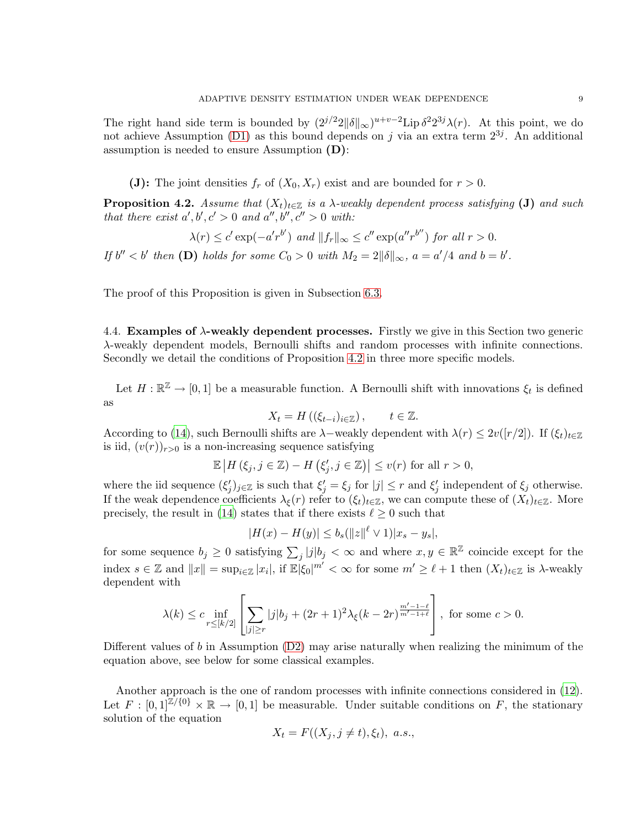The right hand side term is bounded by  $(2^{j/2}2\|\delta\|_{\infty})^{u+v-2}$  Lip  $\delta^2 2^{3j}\lambda(r)$ . At this point, we do not achieve Assumption [\(D1\)](#page-4-2) as this bound depends on j via an extra term  $2^{3j}$ . An additional assumption is needed to ensure Assumption (D):

(J): The joint densities  $f_r$  of  $(X_0, X_r)$  exist and are bounded for  $r > 0$ .

<span id="page-9-0"></span>**Proposition 4.2.** Assume that  $(X_t)_{t\in\mathbb{Z}}$  is a  $\lambda$ -weakly dependent process satisfying (J) and such that there exist  $a', b', c' > 0$  and  $a'', b'', c'' > 0$  with:

$$
\lambda(r) \le c' \exp(-a'r^{b'}) \text{ and } ||f_r||_{\infty} \le c'' \exp(a''r^{b''}) \text{ for all } r > 0.
$$

If  $b'' < b'$  then (D) holds for some  $C_0 > 0$  with  $M_2 = 2||\delta||_{\infty}$ ,  $a = a'/4$  and  $b = b'$ .

<span id="page-9-1"></span>The proof of this Proposition is given in Subsection [6.3.](#page-25-0)

4.4. **Examples of**  $\lambda$ **-weakly dependent processes.** Firstly we give in this Section two generic λ-weakly dependent models, Bernoulli shifts and random processes with infinite connections. Secondly we detail the conditions of Proposition [4.2](#page-9-0) in three more specific models.

Let  $H : \mathbb{R}^{\mathbb{Z}} \to [0,1]$  be a measurable function. A Bernoulli shift with innovations  $\xi_t$  is defined as

$$
X_t = H\left((\xi_{t-i})_{i\in\mathbb{Z}}\right), \qquad t \in \mathbb{Z}.
$$

According to [\(14](#page-28-7)), such Bernoulli shifts are  $\lambda$ –weakly dependent with  $\lambda(r) \leq 2v(|r/2|)$ . If  $(\xi_t)_{t\in\mathbb{Z}}$ is iid,  $(v(r))_{r>0}$  is a non-increasing sequence satisfying

$$
\mathbb{E}\left|H(\xi_j, j \in \mathbb{Z}) - H(\xi'_j, j \in \mathbb{Z})\right| \le v(r) \text{ for all } r > 0,
$$

where the iid sequence  $(\xi'_j)_{j\in\mathbb{Z}}$  is such that  $\xi'_j = \xi_j$  for  $|j| \leq r$  and  $\xi'_j$  independent of  $\xi_j$  otherwise. If the weak dependence coefficients  $\lambda_{\xi}(r)$  refer to  $(\xi_t)_{t\in\mathbb{Z}}$ , we can compute these of  $(X_t)_{t\in\mathbb{Z}}$ . More precisely, the result in [\(14\)](#page-28-7) states that if there exists  $\ell \geq 0$  such that

$$
|H(x) - H(y)| \le b_s (||z||^{\ell} \vee 1)|x_s - y_s|,
$$

for some sequence  $b_j \geq 0$  satisfying  $\sum_j |j|b_j < \infty$  and where  $x, y \in \mathbb{R}^{\mathbb{Z}}$  coincide except for the index  $s \in \mathbb{Z}$  and  $||x|| = \sup_{i \in \mathbb{Z}} |x_i|$ , if  $\mathbb{E}[\xi_0]^{m'} < \infty$  for some  $m' \geq \ell + 1$  then  $(X_t)_{t \in \mathbb{Z}}$  is  $\lambda$ -weakly dependent with

$$
\lambda(k)\leq c\inf_{r\leq [k/2]}\left[\sum_{|j|\geq r}|j|b_j+(2r+1)^2\lambda_\xi(k-2r)^{\frac{m'-1-\ell}{m'-1+\ell}}\right],\text{ for some }c>0.
$$

Different values of b in Assumption [\(D2\)](#page-4-3) may arise naturally when realizing the minimum of the equation above, see below for some classical examples.

Another approach is the one of random processes with infinite connections considered in [\(12\)](#page-28-11). Let  $F : [0,1]^{\mathbb{Z}/\{0\}} \times \mathbb{R} \to [0,1]$  be measurable. Under suitable conditions on F, the stationary solution of the equation

$$
X_t = F((X_j, j \neq t), \xi_t), \ a.s.,
$$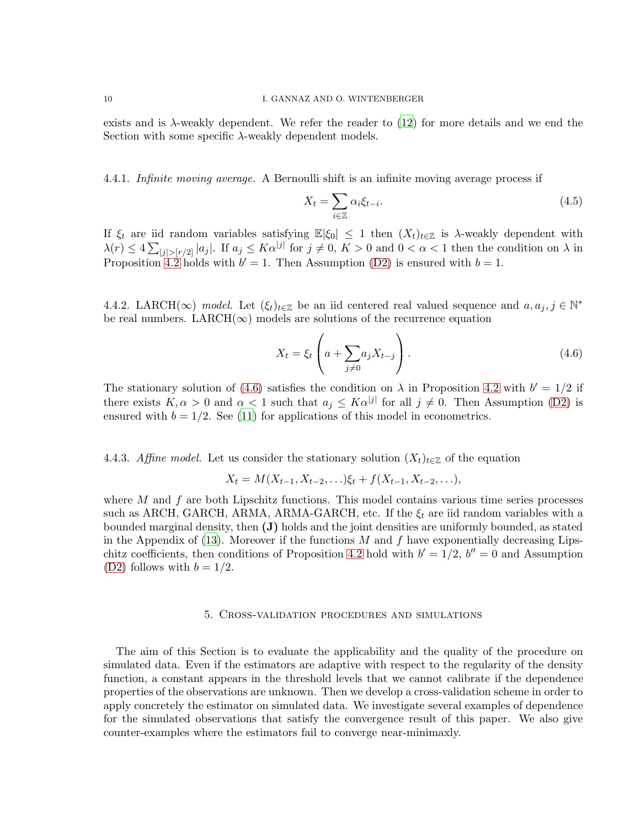exists and is  $\lambda$ -weakly dependent. We refer the reader to [\(12](#page-28-11)) for more details and we end the Section with some specific  $\lambda$ -weakly dependent models.

4.4.1. Infinite moving average. A Bernoulli shift is an infinite moving average process if

$$
X_t = \sum_{i \in \mathbb{Z}} \alpha_i \xi_{t-i}.\tag{4.5}
$$

If  $\xi_t$  are iid random variables satisfying  $\mathbb{E}|\xi_0| \leq 1$  then  $(X_t)_{t\in\mathbb{Z}}$  is  $\lambda$ -weakly dependent with  $\lambda(r) \leq 4 \sum_{|j| > [r/2]} |a_j|$ . If  $a_j \leq K\alpha^{|j|}$  for  $j \neq 0, K > 0$  and  $0 < \alpha < 1$  then the condition on  $\lambda$  in Proposition [4.2](#page-9-0) holds with  $b' = 1$ . Then Assumption [\(D2\)](#page-4-3) is ensured with  $b = 1$ .

4.4.2. LARCH( $\infty$ ) model. Let  $(\xi_t)_{t \in \mathbb{Z}}$  be an iid centered real valued sequence and  $a, a_j, j \in \mathbb{N}^*$ be real numbers. LARCH( $\infty$ ) models are solutions of the recurrence equation

<span id="page-10-1"></span>
$$
X_t = \xi_t \left( a + \sum_{j \neq 0} a_j X_{t-j} \right). \tag{4.6}
$$

The stationary solution of [\(4.6\)](#page-10-1) satisfies the condition on  $\lambda$  in Proposition [4.2](#page-9-0) with  $b' = 1/2$  if there exists  $K, \alpha > 0$  and  $\alpha < 1$  such that  $a_j \leq K \alpha^{|j|}$  for all  $j \neq 0$ . Then Assumption [\(D2\)](#page-4-3) is ensured with  $b = 1/2$ . See [\(11\)](#page-28-12) for applications of this model in econometrics.

4.4.3. Affine model. Let us consider the stationary solution  $(X_t)_{t\in\mathbb{Z}}$  of the equation

$$
X_t = M(X_{t-1}, X_{t-2}, \ldots) \xi_t + f(X_{t-1}, X_{t-2}, \ldots),
$$

where  $M$  and  $f$  are both Lipschitz functions. This model contains various time series processes such as ARCH, GARCH, ARMA, ARMA-GARCH, etc. If the  $\xi_t$  are iid random variables with a bounded marginal density, then (J) holds and the joint densities are uniformly bounded, as stated in the Appendix of  $(13)$ . Moreover if the functions M and f have exponentially decreasing Lips-chitz coefficients, then conditions of Proposition [4.2](#page-9-0) hold with  $b' = 1/2$ ,  $b'' = 0$  and Assumption [\(D2\)](#page-4-3) follows with  $b = 1/2$ .

#### 5. Cross-validation procedures and simulations

<span id="page-10-0"></span>The aim of this Section is to evaluate the applicability and the quality of the procedure on simulated data. Even if the estimators are adaptive with respect to the regularity of the density function, a constant appears in the threshold levels that we cannot calibrate if the dependence properties of the observations are unknown. Then we develop a cross-validation scheme in order to apply concretely the estimator on simulated data. We investigate several examples of dependence for the simulated observations that satisfy the convergence result of this paper. We also give counter-examples where the estimators fail to converge near-minimaxly.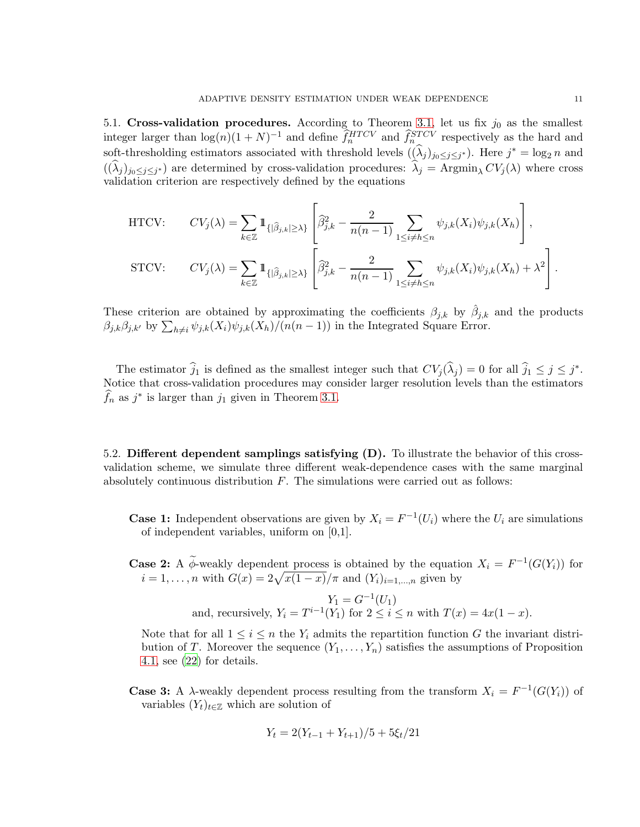5.1. Cross-validation procedures. According to Theorem [3.1,](#page-5-1) let us fix  $j_0$  as the smallest integer larger than  $\log(n)(1+N)^{-1}$  and define  $\hat{f}_n^{HTCV}$  and  $\hat{f}_{n}^{STCV}$  respectively as the hard and soft-thresholding estimators associated with threshold levels  $((\hat{\lambda}_j)_{j_0 \leq j \leq j^*})$ . Here  $j^* = \log_2 n$  and  $((\lambda_j)_{j_0\leq j\leq j^*})$  are determined by cross-validation procedures:  $\lambda_j = \text{Argmin}_{\lambda} CV_j(\lambda)$  where cross validation criterion are respectively defined by the equations

$$
\begin{aligned}\n\text{HTCV:} \qquad CV_j(\lambda) &= \sum_{k \in \mathbb{Z}} \mathbbm{1}_{\{|\widehat{\beta}_{j,k}| \geq \lambda\}} \left[ \widehat{\beta}_{j,k}^2 - \frac{2}{n(n-1)} \sum_{1 \leq i \neq h \leq n} \psi_{j,k}(X_i) \psi_{j,k}(X_h) \right], \\
\text{STCV:} \qquad CV_j(\lambda) &= \sum_{k \in \mathbb{Z}} \mathbbm{1}_{\{|\widehat{\beta}_{j,k}| \geq \lambda\}} \left[ \widehat{\beta}_{j,k}^2 - \frac{2}{n(n-1)} \sum_{1 \leq i \neq h \leq n} \psi_{j,k}(X_i) \psi_{j,k}(X_h) + \lambda^2 \right].\n\end{aligned}
$$

These criterion are obtained by approximating the coefficients  $\beta_{j,k}$  by  $\hat{\beta}_{j,k}$  and the products  $\beta_{j,k}\beta_{j,k'}$  by  $\sum_{h\neq i}\psi_{j,k}(X_i)\psi_{j,k}(X_h)/(n(n-1))$  in the Integrated Square Error.

The estimator  $\hat{j}_1$  is defined as the smallest integer such that  $CV_j(\hat{\lambda}_j) = 0$  for all  $\hat{j}_1 \leq j \leq j^*$ . Notice that cross-validation procedures may consider larger resolution levels than the estimators  $\widehat{f}_n$  as  $j^*$  is larger than  $j_1$  given in Theorem [3.1.](#page-5-1)

5.2. Different dependent samplings satisfying (D). To illustrate the behavior of this crossvalidation scheme, we simulate three different weak-dependence cases with the same marginal absolutely continuous distribution  $F$ . The simulations were carried out as follows:

**Case 1:** Independent observations are given by  $X_i = F^{-1}(U_i)$  where the  $U_i$  are simulations of independent variables, uniform on [0,1].

**Case 2:** A  $\phi$ -weakly dependent process is obtained by the equation  $X_i = F^{-1}(G(Y_i))$  for  $i = 1, ..., n$  with  $G(x) = 2\sqrt{x(1-x)}/\pi$  and  $(Y_i)_{i=1,...,n}$  given by

and, recursively, 
$$
Y_1 = G^{-1}(U_1)
$$
  
and, recursively,  $Y_i = T^{i-1}(Y_1)$  for  $2 \le i \le n$  with  $T(x) = 4x(1 - x)$ .

Note that for all  $1 \leq i \leq n$  the Y<sub>i</sub> admits the repartition function G the invariant distribution of T. Moreover the sequence  $(Y_1,\ldots,Y_n)$  satisfies the assumptions of Proposition [4.1,](#page-7-3) see [\(22\)](#page-29-3) for details.

**Case 3:** A  $\lambda$ -weakly dependent process resulting from the transform  $X_i = F^{-1}(G(Y_i))$  of variables  $(Y_t)_{t \in \mathbb{Z}}$  which are solution of

$$
Y_t = 2(Y_{t-1} + Y_{t+1})/5 + 5\xi_t/21
$$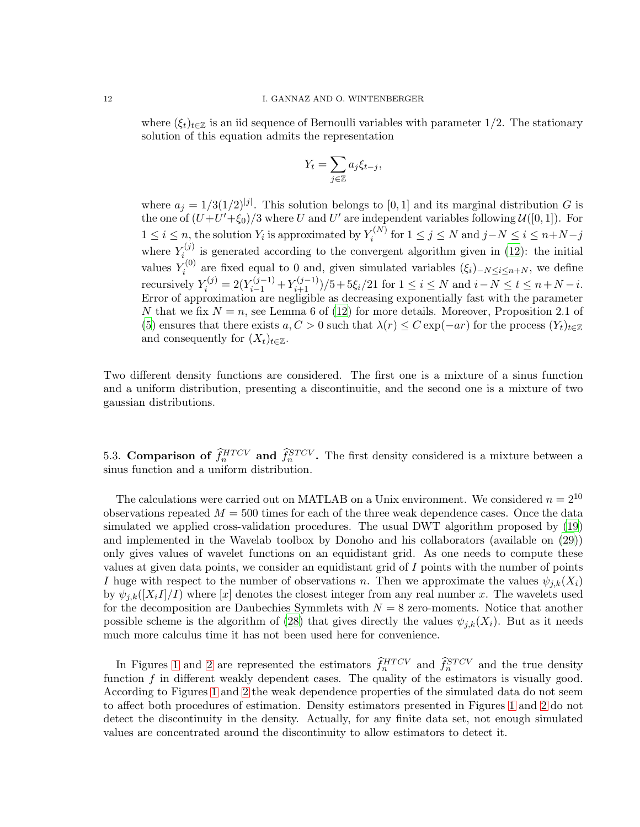where  $(\xi_t)_{t\in\mathbb{Z}}$  is an iid sequence of Bernoulli variables with parameter 1/2. The stationary solution of this equation admits the representation

$$
Y_t = \sum_{j \in \mathbb{Z}} a_j \xi_{t-j},
$$

where  $a_j = 1/3(1/2)^{|j|}$ . This solution belongs to [0, 1] and its marginal distribution G is the one of  $(U+U'+\xi_0)/3$  where U and U' are independent variables following  $\mathcal{U}([0,1])$ . For  $1 \leq i \leq n$ , the solution  $Y_i$  is approximated by  $Y_i^{(N)}$  $i^{(N)}$  for  $1 \leq j \leq N$  and  $j-N \leq i \leq n+N-j$ where  $Y_i^{(j)}$  $i_{i}^{(J)}$  is generated according to the convergent algorithm given in [\(12\)](#page-28-11): the initial values  $Y_i^{(0)}$  $i^{(0)}$  are fixed equal to 0 and, given simulated variables  $(\xi_i)_{-N\leq i\leq n+N}$ , we define recursively  $Y_i^{(j)} = 2(Y_{i-1}^{(j-1)} + Y_{i+1}^{(j-1)})/5 + 5\xi_i/21$  for  $1 \le i \le N$  and  $i - N \le t \le n + N - i$ . Error of approximation are negligible as decreasing exponentially fast with the parameter N that we fix  $N = n$ , see Lemma 6 of [\(12\)](#page-28-11) for more details. Moreover, Proposition 2.1 of [\(5](#page-28-4)) ensures that there exists  $a, C > 0$  such that  $\lambda(r) \leq C \exp(-ar)$  for the process  $(Y_t)_{t \in \mathbb{Z}}$ and consequently for  $(X_t)_{t\in\mathbb{Z}}$ .

Two different density functions are considered. The first one is a mixture of a sinus function and a uniform distribution, presenting a discontinuitie, and the second one is a mixture of two gaussian distributions.

5.3. Comparison of  $\hat{f}_n^{HTCV}$  and  $\hat{f}_n^{STCV}$ . The first density considered is a mixture between a sinus function and a uniform distribution.

The calculations were carried out on MATLAB on a Unix environment. We considered  $n = 2^{10}$ observations repeated  $M = 500$  times for each of the three weak dependence cases. Once the data simulated we applied cross-validation procedures. The usual DWT algorithm proposed by [\(19\)](#page-29-8) and implemented in the Wavelab toolbox by Donoho and his collaborators (available on [\(29](#page-29-9))) only gives values of wavelet functions on an equidistant grid. As one needs to compute these values at given data points, we consider an equidistant grid of I points with the number of points I huge with respect to the number of observations n. Then we approximate the values  $\psi_{i,k}(X_i)$ by  $\psi_{i,k}([X_iI]/I)$  where  $[x]$  denotes the closest integer from any real number x. The wavelets used for the decomposition are Daubechies Symmlets with  $N = 8$  zero-moments. Notice that another possible scheme is the algorithm of [\(28](#page-29-10)) that gives directly the values  $\psi_{i,k}(X_i)$ . But as it needs much more calculus time it has not been used here for convenience.

In Figures [1](#page-13-0) and [2](#page-13-1) are represented the estimators  $\hat{f}_n^{HTCV}$  and  $\hat{f}_n^{STCV}$  and the true density function  $f$  in different weakly dependent cases. The quality of the estimators is visually good. According to Figures [1](#page-13-0) and [2](#page-13-1) the weak dependence properties of the simulated data do not seem to affect both procedures of estimation. Density estimators presented in Figures [1](#page-13-0) and [2](#page-13-1) do not detect the discontinuity in the density. Actually, for any finite data set, not enough simulated values are concentrated around the discontinuity to allow estimators to detect it.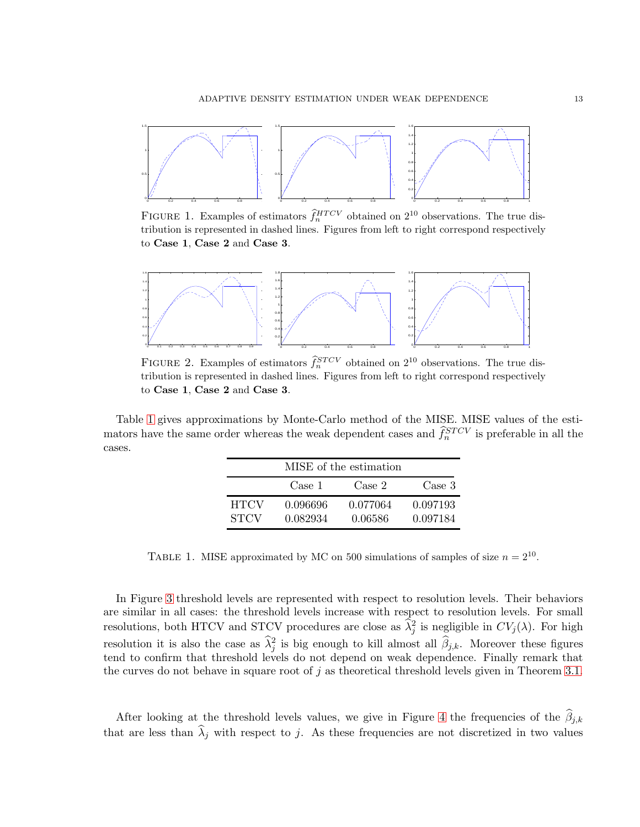<span id="page-13-0"></span>

FIGURE 1. Examples of estimators  $\hat{f}_n^{HTCV}$  obtained on  $2^{10}$  observations. The true distribution is represented in dashed lines. Figures from left to right correspond respectively to Case 1, Case 2 and Case 3.

<span id="page-13-1"></span>

FIGURE 2. Examples of estimators  $\hat{f}_n^{STCV}$  obtained on  $2^{10}$  observations. The true distribution is represented in dashed lines. Figures from left to right correspond respectively to Case 1, Case 2 and Case 3.

<span id="page-13-2"></span>Table [1](#page-13-2) gives approximations by Monte-Carlo method of the MISE. MISE values of the estimators have the same order whereas the weak dependent cases and  $\hat{f}_n^{STCV}$  is preferable in all the cases.

|                            | MISE of the estimation |                     |                      |  |
|----------------------------|------------------------|---------------------|----------------------|--|
|                            | Case 1                 | Case 2              | Case 3               |  |
| <b>HTCV</b><br><b>STCV</b> | 0.096696<br>0.082934   | 0.077064<br>0.06586 | 0.097193<br>0.097184 |  |

TABLE 1. MISE approximated by MC on 500 simulations of samples of size  $n = 2^{10}$ .

In Figure [3](#page-14-0) threshold levels are represented with respect to resolution levels. Their behaviors are similar in all cases: the threshold levels increase with respect to resolution levels. For small resolutions, both HTCV and STCV procedures are close as  $\hat{\lambda}_j^2$  is negligible in  $CV_j(\lambda)$ . For high resolution it is also the case as  $\hat{\lambda}_j^2$  is big enough to kill almost all  $\hat{\beta}_{j,k}$ . Moreover these figures tend to confirm that threshold levels do not depend on weak dependence. Finally remark that the curves do not behave in square root of  $j$  as theoretical threshold levels given in Theorem [3.1.](#page-5-1)

After looking at the threshold levels values, we give in Figure [4](#page-14-1) the frequencies of the  $\beta_{j,k}$ that are less than  $\lambda_j$  with respect to j. As these frequencies are not discretized in two values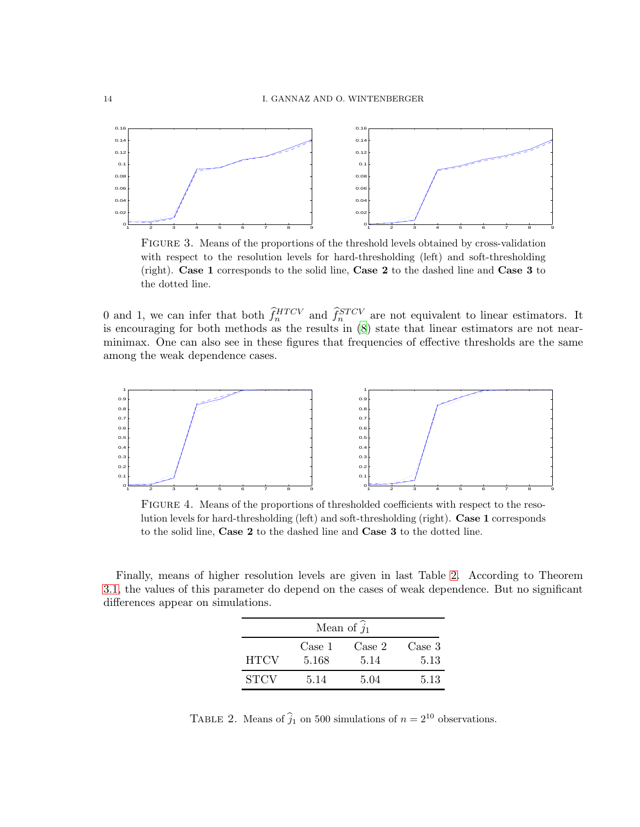<span id="page-14-0"></span>

Figure 3. Means of the proportions of the threshold levels obtained by cross-validation with respect to the resolution levels for hard-thresholding (left) and soft-thresholding (right). Case 1 corresponds to the solid line, Case 2 to the dashed line and Case 3 to the dotted line.

0 and 1, we can infer that both  $\hat{f}_n^{HTCV}$  and  $\hat{f}_n^{STCV}$  are not equivalent to linear estimators. It is encouraging for both methods as the results in [\(8](#page-28-0)) state that linear estimators are not nearminimax. One can also see in these figures that frequencies of effective thresholds are the same among the weak dependence cases.

<span id="page-14-1"></span>

Figure 4. Means of the proportions of thresholded coefficients with respect to the resolution levels for hard-thresholding (left) and soft-thresholding (right). Case 1 corresponds to the solid line, Case 2 to the dashed line and Case 3 to the dotted line.

<span id="page-14-2"></span>Finally, means of higher resolution levels are given in last Table [2.](#page-14-2) According to Theorem [3.1,](#page-5-1) the values of this parameter do depend on the cases of weak dependence. But no significant differences appear on simulations.

| Mean of $\hat{j}_1$ |                 |                |                |  |
|---------------------|-----------------|----------------|----------------|--|
| <b>HTCV</b>         | Case 1<br>5.168 | Case 2<br>5.14 | Case 3<br>5.13 |  |
| <b>STCV</b>         | 5.14            | 5.04           | 5.13           |  |

TABLE 2. Means of  $\hat{j}_1$  on 500 simulations of  $n = 2^{10}$  observations.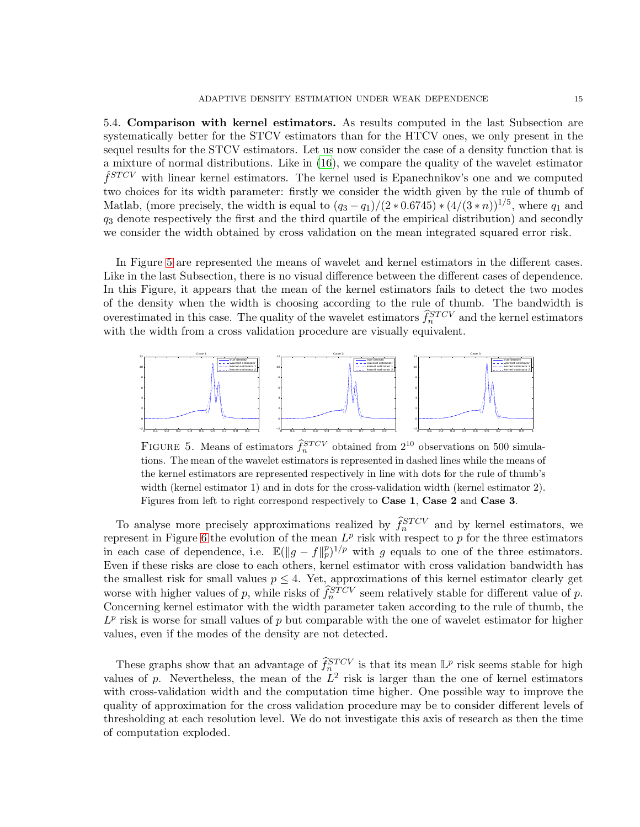5.4. Comparison with kernel estimators. As results computed in the last Subsection are systematically better for the STCV estimators than for the HTCV ones, we only present in the sequel results for the STCV estimators. Let us now consider the case of a density function that is a mixture of normal distributions. Like in [\(16\)](#page-28-14), we compare the quality of the wavelet estimator  $\hat{f}^{STCV}$  with linear kernel estimators. The kernel used is Epanechnikov's one and we computed two choices for its width parameter: firstly we consider the width given by the rule of thumb of Matlab, (more precisely, the width is equal to  $(q_3-q_1)/(2*0.6745)*(4/(3*n))^{1/5}$ , where  $q_1$  and  $q_3$  denote respectively the first and the third quartile of the empirical distribution) and secondly we consider the width obtained by cross validation on the mean integrated squared error risk.

In Figure [5](#page-15-0) are represented the means of wavelet and kernel estimators in the different cases. Like in the last Subsection, there is no visual difference between the different cases of dependence. In this Figure, it appears that the mean of the kernel estimators fails to detect the two modes of the density when the width is choosing according to the rule of thumb. The bandwidth is overestimated in this case. The quality of the wavelet estimators  $\hat{f}_n^{STCV}$  and the kernel estimators with the width from a cross validation procedure are visually equivalent.

<span id="page-15-0"></span>

FIGURE 5. Means of estimators  $\hat{f}_n^{STCV}$  obtained from  $2^{10}$  observations on 500 simulations. The mean of the wavelet estimators is represented in dashed lines while the means of the kernel estimators are represented respectively in line with dots for the rule of thumb's width (kernel estimator 1) and in dots for the cross-validation width (kernel estimator 2). Figures from left to right correspond respectively to Case 1, Case 2 and Case 3.

To analyse more precisely approximations realized by  $\hat{f}_n^{STCV}$  and by kernel estimators, we represent in Figure [6](#page-16-0) the evolution of the mean  $L^p$  risk with respect to p for the three estimators in each case of dependence, i.e.  $\mathbb{E}(\|g - f\|_p^p)^{1/p}$  with g equals to one of the three estimators. Even if these risks are close to each others, kernel estimator with cross validation bandwidth has the smallest risk for small values  $p \leq 4$ . Yet, approximations of this kernel estimator clearly get worse with higher values of p, while risks of  $\hat{f}_n^{STCV}$  seem relatively stable for different value of p. Concerning kernel estimator with the width parameter taken according to the rule of thumb, the  $L^p$  risk is worse for small values of p but comparable with the one of wavelet estimator for higher values, even if the modes of the density are not detected.

These graphs show that an advantage of  $\hat{f}_n^{STCV}$  is that its mean  $\mathbb{L}^p$  risk seems stable for high values of p. Nevertheless, the mean of the  $L^2$  risk is larger than the one of kernel estimators with cross-validation width and the computation time higher. One possible way to improve the quality of approximation for the cross validation procedure may be to consider different levels of thresholding at each resolution level. We do not investigate this axis of research as then the time of computation exploded.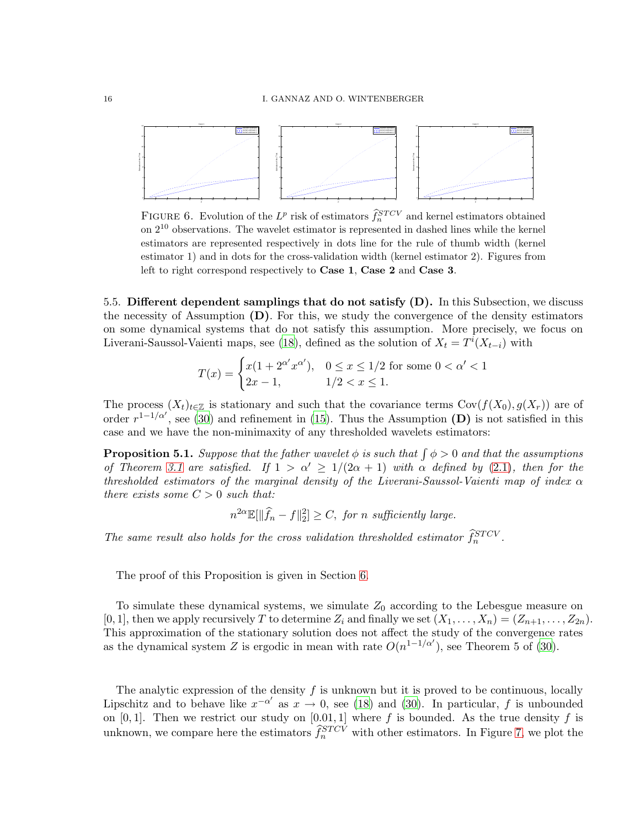<span id="page-16-0"></span>

FIGURE 6. Evolution of the  $L^p$  risk of estimators  $\hat{f}_n^{STCV}$  and kernel estimators obtained on 2<sup>10</sup> observations. The wavelet estimator is represented in dashed lines while the kernel estimators are represented respectively in dots line for the rule of thumb width (kernel estimator 1) and in dots for the cross-validation width (kernel estimator 2). Figures from left to right correspond respectively to Case 1, Case 2 and Case 3.

5.5. Different dependent samplings that do not satisfy (D). In this Subsection, we discuss the necessity of Assumption  $(D)$ . For this, we study the convergence of the density estimators on some dynamical systems that do not satisfy this assumption. More precisely, we focus on Liverani-Saussol-Vaienti maps, see [\(18](#page-29-11)), defined as the solution of  $X_t = T^i(X_{t-i})$  with

$$
T(x) = \begin{cases} x(1 + 2^{\alpha'} x^{\alpha'}), & 0 \le x \le 1/2 \text{ for some } 0 < \alpha' < 1\\ 2x - 1, & 1/2 < x \le 1. \end{cases}
$$

The process  $(X_t)_{t\in\mathbb{Z}}$  is stationary and such that the covariance terms  $Cov(f(X_0),g(X_r))$  are of order  $r^{1-1/\alpha'}$ , see [\(30](#page-29-12)) and refinement in [\(15\)](#page-28-15). Thus the Assumption (D) is not satisfied in this case and we have the non-minimaxity of any thresholded wavelets estimators:

<span id="page-16-1"></span>**Proposition 5.1.** Suppose that the father wavelet  $\phi$  is such that  $\int \phi > 0$  and that the assumptions of Theorem [3.1](#page-5-1) are satisfied. If  $1 > \alpha' \geq 1/(2\alpha + 1)$  with  $\alpha$  defined by [\(2.1\)](#page-4-1), then for the thresholded estimators of the marginal density of the Liverani-Saussol-Vaienti map of index  $\alpha$ there exists some  $C > 0$  such that:

 $n^{2\alpha} \mathbb{E}[\|\widehat{f}_n - f\|_2^2] \geq C$ , for n sufficiently large.

The same result also holds for the cross validation thresholded estimator  $\hat{f}_n^{STCV}$ .

The proof of this Proposition is given in Section [6.](#page-17-0)

To simulate these dynamical systems, we simulate  $Z_0$  according to the Lebesgue measure on [0, 1], then we apply recursively T to determine  $Z_i$  and finally we set  $(X_1, \ldots, X_n) = (Z_{n+1}, \ldots, Z_{2n})$ . This approximation of the stationary solution does not affect the study of the convergence rates as the dynamical system Z is ergodic in mean with rate  $O(n^{1-1/\alpha'})$ , see Theorem 5 of [\(30](#page-29-12)).

The analytic expression of the density  $f$  is unknown but it is proved to be continuous, locally Lipschitz and to behave like  $x^{-\alpha'}$  as  $x \to 0$ , see [\(18](#page-29-11)) and [\(30](#page-29-12)). In particular, f is unbounded on [0, 1]. Then we restrict our study on [0.01, 1] where f is bounded. As the true density f is unknown, we compare here the estimators  $\widehat{f}_n^{STCV}$  with other estimators. In Figure [7,](#page-17-1) we plot the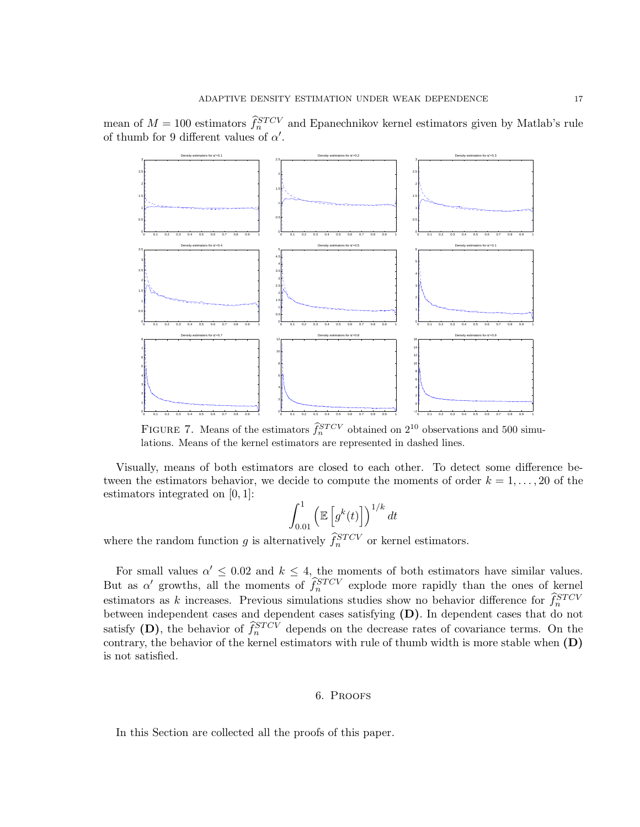<span id="page-17-1"></span>



FIGURE 7. Means of the estimators  $\hat{f}_n^{STCV}$  obtained on  $2^{10}$  observations and 500 simulations. Means of the kernel estimators are represented in dashed lines.

Visually, means of both estimators are closed to each other. To detect some difference between the estimators behavior, we decide to compute the moments of order  $k = 1, \ldots, 20$  of the estimators integrated on [0, 1]:

$$
\int_{0.01}^{1} \left( \mathbb{E}\left[g^{k}(t)\right] \right)^{1/k} dt
$$

where the random function g is alternatively  $\hat{f}_n^{STCV}$  or kernel estimators.

For small values  $\alpha' \leq 0.02$  and  $k \leq 4$ , the moments of both estimators have similar values. But as  $\alpha'$  growths, all the moments of  $\hat{f}_n^{STCV}$  explode more rapidly than the ones of kernel estimators as k increases. Previous simulations studies show no behavior difference for  $\hat{f}_n^{STCV}$ between independent cases and dependent cases satisfying (D). In dependent cases that do not satisfy (D), the behavior of  $\hat{f}_n^{STCV}$  depends on the decrease rates of covariance terms. On the contrary, the behavior of the kernel estimators with rule of thumb width is more stable when (D) is not satisfied.

### 6. Proofs

<span id="page-17-0"></span>In this Section are collected all the proofs of this paper.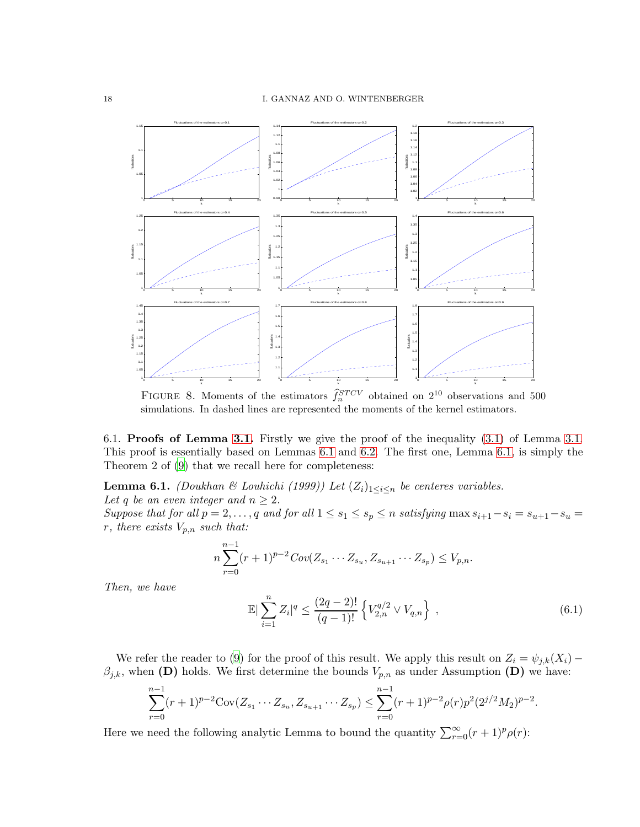

FIGURE 8. Moments of the estimators  $\hat{f}_n^{STCV}$  obtained on  $2^{10}$  observations and 500 simulations. In dashed lines are represented the moments of the kernel estimators.

<span id="page-18-0"></span>6.1. Proofs of Lemma [3.1.](#page-5-2) Firstly we give the proof of the inequality [\(3.1\)](#page-5-0) of Lemma [3.1.](#page-5-2) This proof is essentially based on Lemmas [6.1](#page-18-1) and [6.2.](#page-18-2) The first one, Lemma [6.1,](#page-18-1) is simply the Theorem 2 of [\(9](#page-28-1)) that we recall here for completeness:

<span id="page-18-1"></span>**Lemma 6.1.** (Doukhan & Louhichi (1999)) Let  $(Z_i)_{1 \leq i \leq n}$  be centeres variables.

Let q be an even integer and  $n \geq 2$ .

Suppose that for all  $p = 2, \ldots, q$  and for all  $1 \le s_1 \le s_p \le n$  satisfying max  $s_{i+1} - s_i = s_{u+1} - s_u = s_u$ r, there exists  $V_{p,n}$  such that:

$$
n\sum_{r=0}^{n-1}(r+1)^{p-2}Cov(Z_{s_1}\cdots Z_{s_u},Z_{s_{u+1}}\cdots Z_{s_p})\leq V_{p,n}.
$$

Then, we have

$$
\mathbb{E}\left|\sum_{i=1}^{n}Z_{i}\right|^{q} \leq \frac{(2q-2)!}{(q-1)!} \left\{V_{2,n}^{q/2} \vee V_{q,n}\right\},\tag{6.1}
$$

We refer the reader to [\(9](#page-28-1)) for the proof of this result. We apply this result on  $Z_i = \psi_{j,k}(X_i)$  –  $\beta_{j,k}$ , when (D) holds. We first determine the bounds  $V_{p,n}$  as under Assumption (D) we have:

$$
\sum_{r=0}^{n-1} (r+1)^{p-2} \text{Cov}(Z_{s_1} \cdots Z_{s_u}, Z_{s_{u+1}} \cdots Z_{s_p}) \leq \sum_{r=0}^{n-1} (r+1)^{p-2} \rho(r) p^2 (2^{j/2} M_2)^{p-2}.
$$

<span id="page-18-2"></span>Here we need the following analytic Lemma to bound the quantity  $\sum_{r=0}^{\infty} (r+1)^p \rho(r)$ :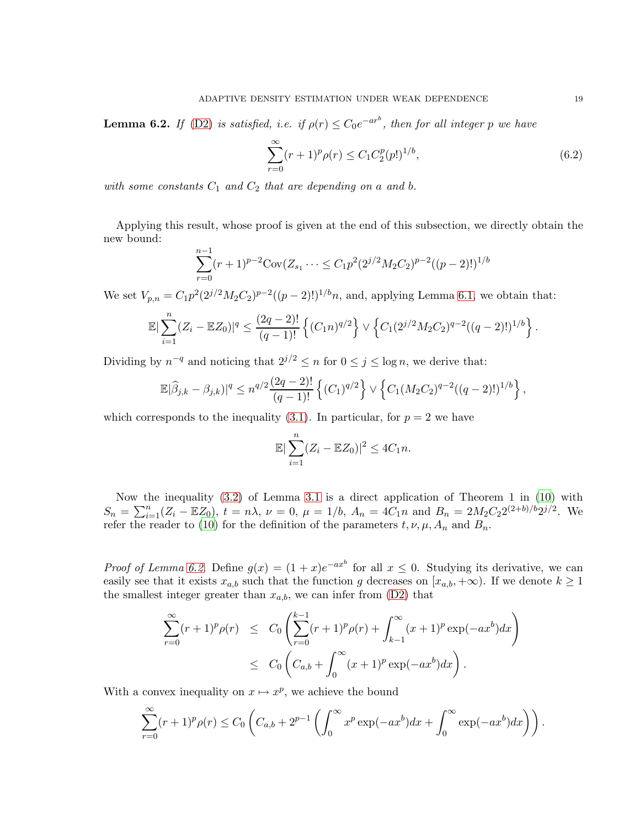**Lemma 6.2.** If [\(D2\)](#page-4-3) is satisfied, i.e. if  $\rho(r) \leq C_0 e^{-ar^b}$ , then for all integer p we have

$$
\sum_{r=0}^{\infty} (r+1)^p \rho(r) \le C_1 C_2^p (p!)^{1/b},\tag{6.2}
$$

with some constants  $C_1$  and  $C_2$  that are depending on a and b.

Applying this result, whose proof is given at the end of this subsection, we directly obtain the new bound:

$$
\sum_{r=0}^{n-1} (r+1)^{p-2} \text{Cov}(Z_{s_1} \cdots \leq C_1 p^2 (2^{j/2} M_2 C_2)^{p-2} ((p-2)!)^{1/b}
$$

We set  $V_{p,n} = C_1 p^2 (2^{j/2} M_2 C_2)^{p-2} ((p-2)!)^{1/b} n$ , and, applying Lemma [6.1,](#page-18-1) we obtain that:

$$
\mathbb{E}|\sum_{i=1}^n (Z_i - \mathbb{E}Z_0)|^q \le \frac{(2q-2)!}{(q-1)!} \left\{ (C_1 n)^{q/2} \right\} \vee \left\{ C_1 (2^{j/2} M_2 C_2)^{q-2} ((q-2)!)^{1/b} \right\}.
$$

Dividing by  $n^{-q}$  and noticing that  $2^{j/2} \le n$  for  $0 \le j \le \log n$ , we derive that:

$$
\mathbb{E}|\widehat{\beta}_{j,k} - \beta_{j,k})|^q \le n^{q/2} \frac{(2q-2)!}{(q-1)!} \left\{ (C_1)^{q/2} \right\} \vee \left\{ C_1 (M_2 C_2)^{q-2} ((q-2)!)^{1/b} \right\},
$$

which corresponds to the inequality [\(3.1\)](#page-5-0). In particular, for  $p = 2$  we have

$$
\mathbb{E}|\sum_{i=1}^n (Z_i - \mathbb{E}Z_0)|^2 \le 4C_1 n.
$$

Now the inequality [\(3.2\)](#page-5-0) of Lemma [3.1](#page-5-2) is a direct application of Theorem 1 in [\(10](#page-28-8)) with  $S_n = \sum_{i=1}^n (Z_i - \mathbb{E}Z_0), t = n\lambda, \nu = 0, \mu = 1/b, A_n = 4C_1n \text{ and } B_n = 2M_2C_22^{(2+b)/b}2^{j/2}.$  We refer the reader to [\(10\)](#page-28-8) for the definition of the parameters  $t, \nu, \mu, A_n$  and  $B_n$ .

*Proof of Lemma [6.2.](#page-18-2)* Define  $g(x) = (1+x)e^{-ax^b}$  for all  $x \le 0$ . Studying its derivative, we can easily see that it exists  $x_{a,b}$  such that the function g decreases on  $[x_{a,b}, +\infty)$ . If we denote  $k \ge 1$ the smallest integer greater than  $x_{a,b}$ , we can infer from  $(D2)$  that

$$
\sum_{r=0}^{\infty} (r+1)^p \rho(r) \leq C_0 \left( \sum_{r=0}^{k-1} (r+1)^p \rho(r) + \int_{k-1}^{\infty} (x+1)^p \exp(-ax^b) dx \right) \leq C_0 \left( C_{a,b} + \int_0^{\infty} (x+1)^p \exp(-ax^b) dx \right).
$$

With a convex inequality on  $x \mapsto x^p$ , we achieve the bound

$$
\sum_{r=0}^{\infty} (r+1)^p \rho(r) \le C_0 \left( C_{a,b} + 2^{p-1} \left( \int_0^{\infty} x^p \exp(-ax^b) dx + \int_0^{\infty} \exp(-ax^b) dx \right) \right).
$$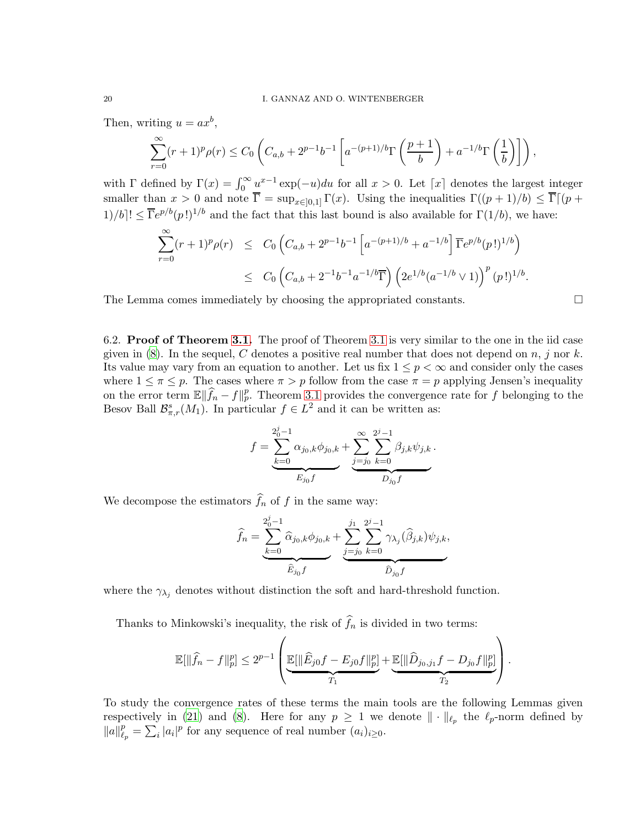Then, writing  $u = ax^b$ ,

$$
\sum_{r=0}^{\infty} (r+1)^p \rho(r) \le C_0 \left( C_{a,b} + 2^{p-1} b^{-1} \left[ a^{-(p+1)/b} \Gamma\left(\frac{p+1}{b}\right) + a^{-1/b} \Gamma\left(\frac{1}{b}\right) \right] \right),
$$

with  $\Gamma$  defined by  $\Gamma(x) = \int_0^\infty \underline{u}^{x-1} \exp(-u) du$  for all  $x > 0$ . Let  $\lceil x \rceil$  denotes the largest integer smaller than  $x > 0$  and note  $\overline{\Gamma} = \sup_{x \in [0,1]} \Gamma(x)$ . Using the inequalities  $\Gamma((p+1)/b) \leq \overline{\Gamma}[(p+1)/b]$  $1)/b$ !  $\leq \overline{\Gamma}e^{p/b}(p!)^{1/b}$  and the fact that this last bound is also available for  $\Gamma(1/b)$ , we have:

$$
\sum_{r=0}^{\infty} (r+1)^p \rho(r) \leq C_0 \left( C_{a,b} + 2^{p-1} b^{-1} \left[ a^{-(p+1)/b} + a^{-1/b} \right] \overline{\Gamma} e^{p/b} (p!)^{1/b} \right)
$$
  

$$
\leq C_0 \left( C_{a,b} + 2^{-1} b^{-1} a^{-1/b} \overline{\Gamma} \right) \left( 2e^{1/b} (a^{-1/b} \vee 1) \right)^p (p!)^{1/b}.
$$

<span id="page-20-0"></span>The Lemma comes immediately by choosing the appropriated constants.

6.2. Proof of Theorem [3.1.](#page-5-1) The proof of Theorem [3.1](#page-5-1) is very similar to the one in the iid case given in [\(8](#page-28-0)). In the sequel, C denotes a positive real number that does not depend on  $n, j$  nor k. Its value may vary from an equation to another. Let us fix  $1 \leq p < \infty$  and consider only the cases where  $1 \leq \pi \leq p$ . The cases where  $\pi > p$  follow from the case  $\pi = p$  applying Jensen's inequality on the error term  $\mathbb{E} \|\widehat{f}_n - f\|_p^p$ . Theorem [3.1](#page-5-1) provides the convergence rate for f belonging to the Besov Ball  $\mathcal{B}_{\pi,r}^s(M_1)$ . In particular  $f \in L^2$  and it can be written as:

$$
f = \underbrace{\sum_{k=0}^{2_0^j-1} \alpha_{j_0,k} \phi_{j_0,k}}_{E_{j_0}f} + \underbrace{\sum_{j=j_0}^{\infty} \sum_{k=0}^{2^j-1} \beta_{j,k} \psi_{j,k}}_{D_{j_0}f}.
$$

We decompose the estimators  $f_n$  of  $f$  in the same way:

$$
\widehat{f}_n = \underbrace{\sum_{k=0}^{2_0^j - 1} \widehat{\alpha}_{j_0,k} \phi_{j_0,k}}_{\widehat{E}_{j_0} f} + \underbrace{\sum_{j=0}^{j_1} \sum_{k=0}^{2^j - 1} \gamma_{\lambda_j}(\widehat{\beta}_{j,k}) \psi_{j,k}}_{\widehat{D}_{j_0} f},
$$

where the  $\gamma_{\lambda_j}$  denotes without distinction the soft and hard-threshold function.

Thanks to Minkowski's inequality, the risk of  $f_n$  is divided in two terms:

$$
\mathbb{E}[\|\widehat{f}_n - f\|_p^p] \le 2^{p-1} \left( \underbrace{\mathbb{E}[\|\widehat{E}_{j0}f - E_{j0}f\|_p^p]}_{T_1} + \underbrace{\mathbb{E}[\|\widehat{D}_{j0,j_1}f - D_{j0}f\|_p^p]}_{T_2} \right).
$$

<span id="page-20-1"></span>To study the convergence rates of these terms the main tools are the following Lemmas given respectively in [\(21\)](#page-29-4) and [\(8](#page-28-0)). Here for any  $p \geq 1$  we denote  $\|\cdot\|_{\ell_p}$  the  $\ell_p$ -norm defined by  $||a||_{\ell}^p$  $\frac{p}{\ell_p} = \sum_i |a_i|^p$  for any sequence of real number  $(a_i)_{i \geq 0}$ .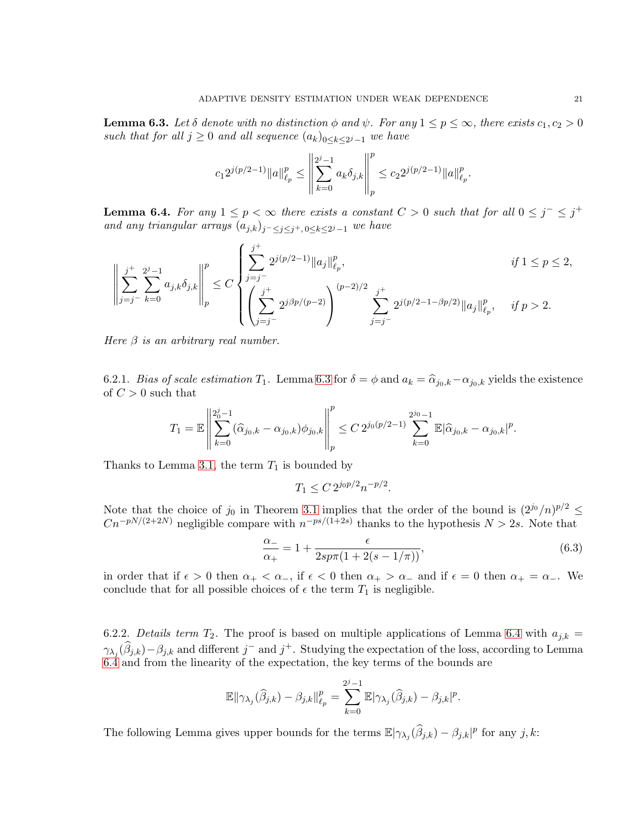**Lemma 6.3.** Let  $\delta$  denote with no distinction  $\phi$  and  $\psi$ . For any  $1 \leq p \leq \infty$ , there exists  $c_1, c_2 > 0$ such that for all  $j \geq 0$  and all sequence  $(a_k)_{0 \leq k \leq 2^j-1}$  we have

$$
c_1 2^{j(p/2-1)} \|a\|_{\ell_p}^p \le \left\|\sum_{k=0}^{2^j-1} a_k \delta_{j,k}\right\|_p^p \le c_2 2^{j(p/2-1)} \|a\|_{\ell_p}^p.
$$

<span id="page-21-0"></span>**Lemma 6.4.** For any  $1 \leq p < \infty$  there exists a constant  $C > 0$  such that for all  $0 \leq j^{-} \leq j^{+}$ and any triangular arrays  $(a_{j,k})_{j^-\leq j\leq j^+, 0\leq k\leq 2^j-1}$  we have

$$
\left\|\sum_{j=j^{-}}^{j^{+}}\sum_{k=0}^{2^{j}-1}a_{j,k}\delta_{j,k}\right\|_{p}^{p} \leq C\left\{\sum_{j=j^{-}}^{j^{+}}2^{j(p/2-1)}\|a_{j}\|_{\ell_{p}}^{p}, \atop \left(\sum_{j=j^{-}}^{j^{+}}2^{j\beta p/(p-2)}\right)^{(p-2)/2} \sum_{j=j^{-}}^{j^{+}}2^{j(p/2-1-\beta p/2)}\|a_{j}\|_{\ell_{p}}^{p}, \quad \text{ if } p>2.
$$

Here  $\beta$  is an arbitrary real number.

6.2.1. Bias of scale estimation  $T_1$ . Lemma [6.3](#page-20-1) for  $\delta = \phi$  and  $a_k = \hat{\alpha}_{j_0,k} - \alpha_{j_0,k}$  yields the existence of  $C > 0$  such that

$$
T_1=\mathbb{E}\left\|\sum_{k=0}^{2^j_0-1}(\widehat{\alpha}_{j_0,k}-\alpha_{j_0,k})\phi_{j_0,k}\right\|_p^p\leq C\,2^{j_0(p/2-1)}\sum_{k=0}^{2^{j_0}-1}\mathbb{E}|\widehat{\alpha}_{j_0,k}-\alpha_{j_0,k}|^p.
$$

Thanks to Lemma [3.1,](#page-5-2) the term  $T_1$  is bounded by

<span id="page-21-2"></span>
$$
T_1 \le C 2^{j_0 p/2} n^{-p/2}.
$$

Note that the choice of  $j_0$  in Theorem [3.1](#page-5-1) implies that the order of the bound is  $(2^{j_0}/n)^{p/2} \le$  $Cn^{-pN/(2+2N)}$  negligible compare with  $n^{-ps/(1+2s)}$  thanks to the hypothesis  $N > 2s$ . Note that

$$
\frac{\alpha_{-}}{\alpha_{+}} = 1 + \frac{\epsilon}{2sp\pi(1 + 2(s - 1/\pi))},\tag{6.3}
$$

in order that if  $\epsilon > 0$  then  $\alpha_+ < \alpha_-$ , if  $\epsilon < 0$  then  $\alpha_+ > \alpha_-$  and if  $\epsilon = 0$  then  $\alpha_+ = \alpha_-$ . We conclude that for all possible choices of  $\epsilon$  the term  $T_1$  is negligible.

6.2.2. Details term  $T_2$ . The proof is based on multiple applications of Lemma [6.4](#page-21-0) with  $a_{j,k} =$  $\gamma_{\lambda_j}(\hat{\beta}_{j,k})-\beta_{j,k}$  and different  $j^-$  and  $j^+$ . Studying the expectation of the loss, according to Lemma [6.4](#page-21-0) and from the linearity of the expectation, the key terms of the bounds are

$$
\mathbb{E} \|\gamma_{\lambda_j}(\widehat{\beta}_{j,k})-\beta_{j,k}\|_{\ell_p}^p = \sum_{k=0}^{2^j-1} \mathbb{E}|\gamma_{\lambda_j}(\widehat{\beta}_{j,k})-\beta_{j,k}|^p.
$$

<span id="page-21-1"></span>The following Lemma gives upper bounds for the terms  $\mathbb{E}|\gamma_{\lambda_j}(\widehat{\beta}_{j,k}) - \beta_{j,k}|^p$  for any  $j,k$ :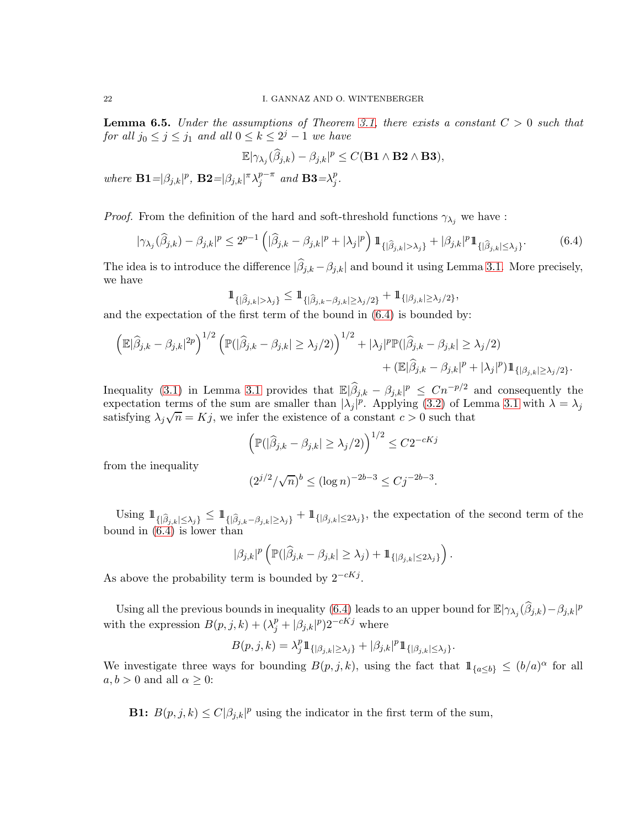**Lemma 6.5.** Under the assumptions of Theorem [3.1,](#page-5-1) there exists a constant  $C > 0$  such that for all  $j_0 \leq j \leq j_1$  and all  $0 \leq k \leq 2^j - 1$  we have

<span id="page-22-0"></span>
$$
\mathbb{E}|\gamma_{\lambda_j}(\widehat{\beta}_{j,k})-\beta_{j,k}|^p\leq C(\mathbf{B1}\wedge\mathbf{B2}\wedge\mathbf{B3}),
$$

where  $\mathbf{B1} = |\beta_{j,k}|^p$ ,  $\mathbf{B2} = |\beta_{j,k}|^{\pi} \lambda_j^{p-\pi}$  $j^{p-\pi}$  and **B3**= $\lambda_j^p$  $_{j}^{p}.$ 

*Proof.* From the definition of the hard and soft-threshold functions  $\gamma_{\lambda_i}$  we have :

$$
|\gamma_{\lambda_j}(\widehat{\beta}_{j,k}) - \beta_{j,k}|^p \le 2^{p-1} \left( |\widehat{\beta}_{j,k} - \beta_{j,k}|^p + |\lambda_j|^p \right) 1\!\!1_{\{|\widehat{\beta}_{j,k}| > \lambda_j\}} + |\beta_{j,k}|^p 1\!\!1_{\{|\widehat{\beta}_{j,k}| \le \lambda_j\}}.
$$
 (6.4)

The idea is to introduce the difference  $|\beta_{j,k} - \beta_{j,k}|$  and bound it using Lemma [3.1.](#page-5-2) More precisely, we have

$$
\mathbb{1}_{\{\vert \widehat{\beta}_{j,k}\vert>\lambda_j\}}\leq\mathbb{1}_{\{\vert \widehat{\beta}_{j,k}-\beta_{j,k}\vert\geq\lambda_j/2\}}+\mathbb{1}_{\{\vert \beta_{j,k}\vert\geq\lambda_j/2\}},
$$

and the expectation of the first term of the bound in [\(6.4\)](#page-22-0) is bounded by:

$$
\left(\mathbb{E}|\widehat{\beta}_{j,k} - \beta_{j,k}|^{2p}\right)^{1/2} \left(\mathbb{P}(|\widehat{\beta}_{j,k} - \beta_{j,k}| \ge \lambda_j/2)\right)^{1/2} + |\lambda_j|^p \mathbb{P}(|\widehat{\beta}_{j,k} - \beta_{j,k}| \ge \lambda_j/2) + (\mathbb{E}|\widehat{\beta}_{j,k} - \beta_{j,k}|^p + |\lambda_j|^p) \mathbb{1}_{\{|\beta_{j,k}| \ge \lambda_j/2\}}.
$$

Inequality [\(3.1\)](#page-5-0) in Lemma [3.1](#page-5-2) provides that  $\mathbb{E}|\widehat{\beta}_{j,k} - \beta_{j,k}|^p \leq Cn^{-p/2}$  and consequently the expectation terms of the sum are smaller than  $|\lambda_j|^p$ . Applying [\(3.2\)](#page-5-0) of Lemma [3.1](#page-5-2) with  $\lambda = \lambda_j$ satisfying  $\lambda_j \sqrt{n} = Kj$ , we infer the existence of a constant  $c > 0$  such that

$$
\left(\mathbb{P}(|\widehat{\beta}_{j,k} - \beta_{j,k}| \ge \lambda_j/2)\right)^{1/2} \le C2^{-cKj}
$$

from the inequality

$$
(2^{j/2}/\sqrt{n})^b \le (\log n)^{-2b-3} \le Cj^{-2b-3}.
$$

Using  $1\!\!1_{\{|\widehat{\beta}_{j,k}| \leq \lambda_j\}} \leq 1\!\!1_{\{|\widehat{\beta}_{j,k} - \beta_{j,k}| \geq \lambda_j\}} + 1\!\!1_{\{|\beta_{j,k}| \leq 2\lambda_j\}},$  the expectation of the second term of the bound in  $(6.4)$  is lower than

$$
|\beta_{j,k}|^p\left(\mathbb{P}(|\widehat{\beta}_{j,k}-\beta_{j,k}|\geq\lambda_j)+1\!\!1_{\{|\beta_{j,k}|\leq 2\lambda_j\}}\right).
$$

As above the probability term is bounded by  $2^{-cKj}$ .

Using all the previous bounds in inequality [\(6.4\)](#page-22-0) leads to an upper bound for  $\mathbb{E}|\gamma_{\lambda_j}(\widehat{\beta}_{j,k})-\beta_{j,k}|^p$ with the expression  $B(p, j, k) + (\lambda_j^p + |\beta_{j,k}|^p) 2^{-cKj}$  where

$$
B(p,j,k) = \lambda_j^p 1\!\!1_{\{|{\beta}_{j,k}| \geq {\lambda}_j\}} + |{\beta}_{j,k}|^p 1\!\!1_{\{|{\beta}_{j,k}| \leq {\lambda}_j\}}
$$

.

We investigate three ways for bounding  $B(p, j, k)$ , using the fact that  $\mathbb{1}_{\{a \leq b\}} \leq (b/a)^{\alpha}$  for all  $a, b > 0$  and all  $\alpha \geq 0$ :

**B1:**  $B(p, j, k) \le C|\beta_{j,k}|^p$  using the indicator in the first term of the sum,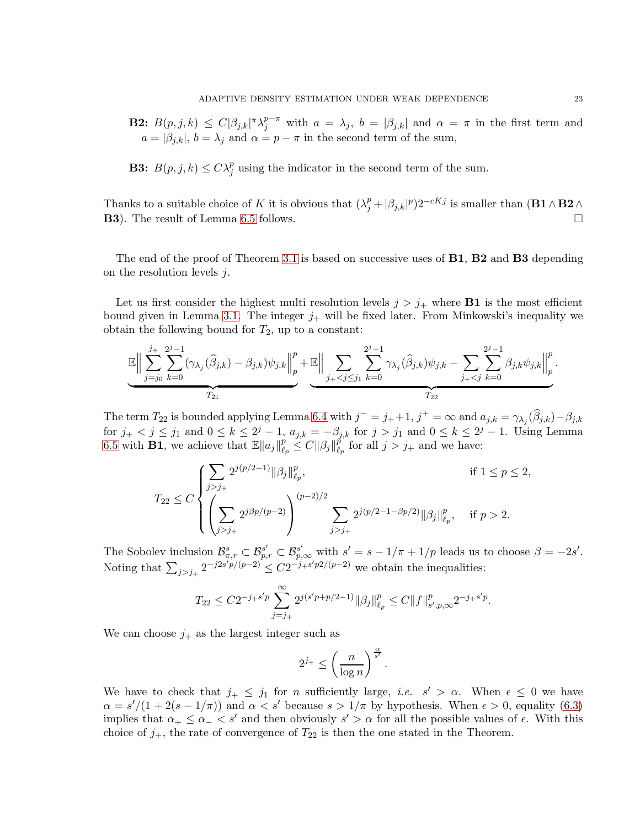**B2:**  $B(p, j, k) \leq C|\beta_{j,k}|^{\pi} \lambda_j^{p-\pi}$  with  $a = \lambda_j$ ,  $b = |\beta_{j,k}|$  and  $\alpha = \pi$  in the first term and  $a = |\beta_{j,k}|$ ,  $b = \lambda_j$  and  $\alpha = p - \pi$  in the second term of the sum,

**B3:**  $B(p, j, k) \le C \lambda_j^p$  using the indicator in the second term of the sum.

Thanks to a suitable choice of K it is obvious that  $(\lambda_j^p + |\beta_{j,k}|^p)2^{-cKj}$  is smaller than  $(B1 \wedge B2 \wedge$ B3). The result of Lemma [6.5](#page-21-1) follows.

The end of the proof of Theorem [3.1](#page-5-1) is based on successive uses of **B1**, **B2** and **B3** depending on the resolution levels j.

Let us first consider the highest multi resolution levels  $j > j_+$  where **B1** is the most efficient bound given in Lemma [3.1.](#page-5-2) The integer  $j_+$  will be fixed later. From Minkowski's inequality we obtain the following bound for  $T_2$ , up to a constant:

$$
\mathbb{E}\Big\|\sum_{j=j_0}^{j_+}\sum_{k=0}^{2^j-1}(\gamma_{\lambda_j}(\widehat{\beta}_{j,k})-\beta_{j,k})\psi_{j,k}\Big\|_p^p+\mathbb{E}\Big\|\sum_{j_+
$$

The term  $T_{22}$  is bounded applying Lemma [6.4](#page-21-0) with  $j^- = j_+ + 1$ ,  $j^+ = \infty$  and  $a_{j,k} = \gamma_{\lambda_j}(\hat{\beta}_{j,k}) - \beta_{j,k}$ for  $j_+ < j \leq j_1$  and  $0 \leq k \leq 2^j - 1$ ,  $a_{j,k} = -\beta_{j,k}$  for  $j > j_1$  and  $0 \leq k \leq 2^j - 1$ . Using Lemma [6.5](#page-21-1) with **B1**, we achieve that  $\mathbb{E} ||a_j||_{\ell_1}^p$  $\frac{p}{\ell_p} \leq C \|\beta_j\|_{\ell_p}^{\tilde{p}}$  $\frac{p}{\ell_p}$  for all  $j > j_+$  and we have:

$$
T_{22} \leq C \begin{cases} \displaystyle{\sum_{j > j_+}} 2^{j(p/2-1)} \|\beta_j\|_{\ell_p}^p, & \text{if } 1 \leq p \leq 2, \\ \displaystyle{\left(\sum_{j > j_+} 2^{j\beta p/(p-2)}\right)^{(p-2)/2}} \sum_{j > j_+} 2^{j(p/2-1-\beta p/2)} \|\beta_j\|_{\ell_p}^p, & \text{if } p > 2. \end{cases}
$$

The Sobolev inclusion  $\mathcal{B}_{\pi,r}^s \subset \mathcal{B}_{p,r}^{s'} \subset \mathcal{B}_{p,\infty}^{s'}$  with  $s' = s - 1/\pi + 1/p$  leads us to choose  $\beta = -2s'$ . Noting that  $\sum_{j>j_+} 2^{-j2s'p/(p-2)} \leq C2^{-j_+s'p/2/(p-2)}$  we obtain the inequalities:

$$
T_{22}\leq C 2^{-j_+s'p}\sum_{j=j_+}^\infty 2^{j(s'p+p/2-1)}\|\beta_j\|_{\ell_p}^p\leq C\|f\|_{s',p,\infty}^p2^{-j_+s'p}.
$$

We can choose  $j_+$  as the largest integer such as

$$
2^{j_+} \leq \left(\frac{n}{\log n}\right)^{\frac{\alpha}{s'}}.
$$

We have to check that  $j_+ \leq j_1$  for n sufficiently large, *i.e.*  $s' > \alpha$ . When  $\epsilon \leq 0$  we have  $\alpha = s'/(1 + 2(s - 1/\pi))$  and  $\alpha < s'$  because  $s > 1/\pi$  by hypothesis. When  $\epsilon > 0$ , equality [\(6.3\)](#page-21-2) implies that  $\alpha_+ \leq \alpha_- \leq s'$  and then obviously  $s' > \alpha$  for all the possible values of  $\epsilon$ . With this choice of  $j_+$ , the rate of convergence of  $T_{22}$  is then the one stated in the Theorem.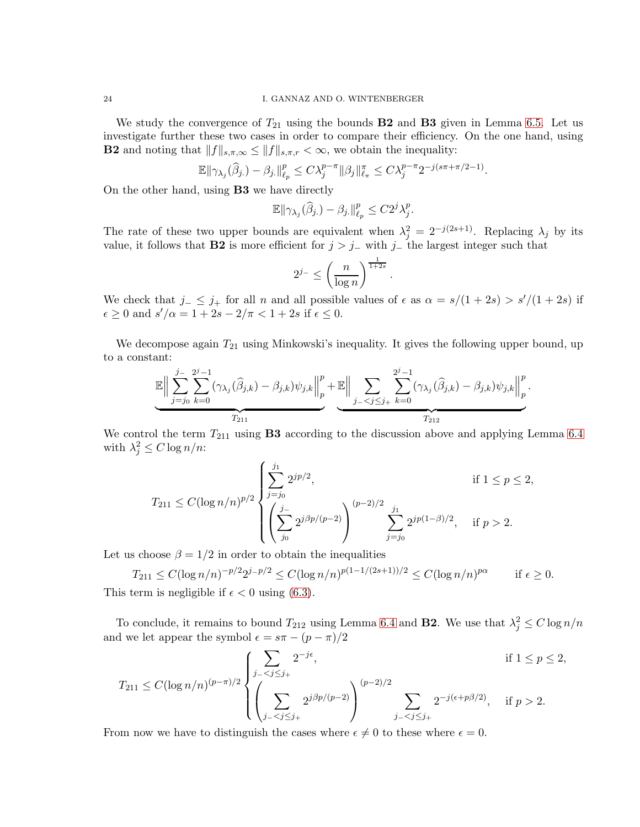We study the convergence of  $T_{21}$  using the bounds **B2** and **B3** given in Lemma [6.5.](#page-21-1) Let us investigate further these two cases in order to compare their efficiency. On the one hand, using **B2** and noting that  $||f||_{s,\pi,\infty} \leq ||f||_{s,\pi,r} < \infty$ , we obtain the inequality:

$$
\mathbb{E}\|\gamma_{\lambda_j}(\widehat{\beta}_j) - \beta_j\|_{\ell_p}^p \le C\lambda_j^{p-\pi}\|\beta_j\|_{\ell_\pi}^{\pi} \le C\lambda_j^{p-\pi}2^{-j(s\pi+\pi/2-1)}.
$$

On the other hand, using B3 we have directly

$$
\mathbb{E} \|\gamma_{\lambda_j}(\widehat{\beta}_j\cdot) - \beta_j\|_{\ell_p}^p \le C2^j\lambda_j^p.
$$

The rate of these two upper bounds are equivalent when  $\lambda_j^2 = 2^{-j(2s+1)}$ . Replacing  $\lambda_j$  by its value, it follows that **B2** is more efficient for  $j > j_-\$  with  $j_-\$  the largest integer such that

$$
2^{j-} \le \left(\frac{n}{\log n}\right)^{\frac{1}{1+2s}}.
$$

We check that  $j_-\leq j_+$  for all n and all possible values of  $\epsilon$  as  $\alpha = s/(1+2s) > s'/(1+2s)$  if  $\epsilon \geq 0$  and  $s'/\alpha = 1 + 2s - 2/\pi < 1 + 2s$  if  $\epsilon \leq 0$ .

We decompose again  $T_{21}$  using Minkowski's inequality. It gives the following upper bound, up to a constant:

$$
\mathbb{E}\Big\|\sum_{j=j_0}^{j-2j-1}(\gamma_{\lambda_j}(\widehat{\beta}_{j,k})-\beta_{j,k})\psi_{j,k}\Big\|_p^p+\mathbb{E}\Big\|\sum_{j-1\leq j\leq j_+}\sum_{k=0}^{2^j-1}(\gamma_{\lambda_j}(\widehat{\beta}_{j,k})-\beta_{j,k})\psi_{j,k}\Big\|_p^p.
$$

We control the term  $T_{211}$  using **B3** according to the discussion above and applying Lemma [6.4](#page-21-0) with  $\lambda_j^2 \leq C \log n/n$ :

$$
T_{211} \le C(\log n/n)^{p/2} \begin{cases} \displaystyle\sum_{j=j_0}^{j_1} 2^{jp/2}, & \text{if } 1 \le p \le 2, \\ \displaystyle\left(\sum_{j_0}^{j_-} 2^{j\beta p/(p-2)}\right)^{(p-2)/2} \displaystyle\sum_{j=j_0}^{j_1} 2^{jp(1-\beta)/2}, & \text{if } p > 2. \end{cases}
$$

Let us choose  $\beta = 1/2$  in order to obtain the inequalities

 $T_{211} \le C(\log n/n)^{-p/2} 2^{j-p/2} \le C(\log n/n)^{p(1-1/(2s+1))/2} \le C(\log n/n)^{p\alpha}$  if  $\epsilon \ge 0$ . This term is negligible if  $\epsilon < 0$  using [\(6.3\)](#page-21-2).

To conclude, it remains to bound  $T_{212}$  using Lemma [6.4](#page-21-0) and **B2**. We use that  $\lambda_j^2 \leq C \log n/n$ and we let appear the symbol  $\epsilon = s\pi - (p - \pi)/2$ 

$$
T_{211} \le C(\log n/n)^{(p-\pi)/2} \begin{cases} \displaystyle\sum_{j_{-} < j \le j_{+}} 2^{-j\epsilon}, & \text{if } 1 \le p \le 2, \\ \displaystyle\left(\sum_{j_{-} < j \le j_{+}} 2^{j\beta p/(p-2)}\right)^{(p-2)/2} \sum_{j_{-} < j \le j_{+}} 2^{-j(\epsilon+p\beta/2)}, & \text{if } p > 2. \end{cases}
$$

From now we have to distinguish the cases where  $\epsilon \neq 0$  to these where  $\epsilon = 0$ .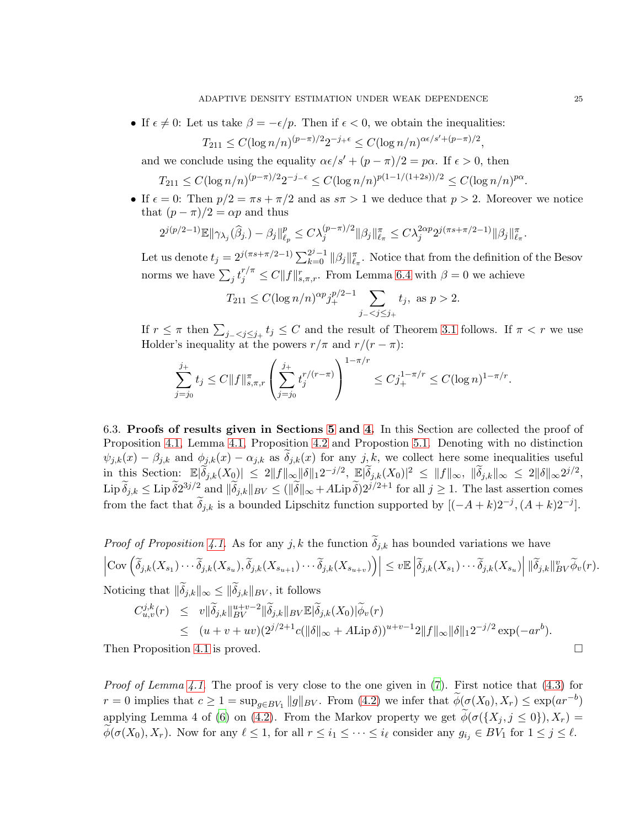• If  $\epsilon \neq 0$ : Let us take  $\beta = -\epsilon/p$ . Then if  $\epsilon < 0$ , we obtain the inequalities:

$$
T_{211} \le C(\log n/n)^{(p-\pi)/2} 2^{-j+\epsilon} \le C(\log n/n)^{\alpha\epsilon/s' + (p-\pi)/2}
$$

and we conclude using the equality  $\alpha \epsilon / s' + (p - \pi)/2 = p\alpha$ . If  $\epsilon > 0$ , then

 $T_{211} \le C(\log n/n)^{(p-\pi)/2}2^{-j-\epsilon} \le C(\log n/n)^{p(1-1/(1+2s))/2} \le C(\log n/n)^{p\alpha}.$ 

• If  $\epsilon = 0$ : Then  $p/2 = \pi s + \pi/2$  and as  $s\pi > 1$  we deduce that  $p > 2$ . Moreover we notice that  $(p - \pi)/2 = \alpha p$  and thus

$$
2^{j(p/2-1)} \mathbb{E} \|\gamma_{\lambda_j}(\widehat{\beta}_j\cdot) - \beta_j\|_{\ell_p}^p \leq C \lambda_j^{(p-\pi)/2} \|\beta_j\|_{\ell_\pi}^\pi \leq C \lambda_j^{2\alpha p} 2^{j(\pi s + \pi/2 - 1)} \|\beta_j\|_{\ell_\pi}^\pi.
$$

Let us denote  $t_j = 2^{j(\pi s + \pi/2 - 1)} \sum_{k=0}^{2^j-1} ||\beta_j||_{\ell_\pi}^{\pi}$ . Notice that from the definition of the Besov norms we have  $\sum_j t_j^{r/\pi} \leq C ||f||_{s,\pi,r}^r$ . From Lemma [6.4](#page-21-0) with  $\beta = 0$  we achieve

$$
T_{211} \le C(\log n/n)^{\alpha p} j_+^{p/2-1} \sum_{j_- < j \le j_+} t_j, \text{ as } p > 2.
$$

If  $r \leq \pi$  then  $\sum_{j-\leq j \leq j_+} t_j \leq C$  and the result of Theorem [3.1](#page-5-1) follows. If  $\pi < r$  we use Holder's inequality at the powers  $r/\pi$  and  $r/(r - \pi)$ :

$$
\sum_{j=j_0}^{j_+} t_j \le C \|f\|_{s,\pi,r}^{\pi} \left( \sum_{j=j_0}^{j_+} t_j^{r/(r-\pi)} \right)^{1-\pi/r} \le C j_+^{1-\pi/r} \le C (\log n)^{1-\pi/r}.
$$

<span id="page-25-0"></span>6.3. Proofs of results given in Sections [5](#page-10-0) and [4.](#page-6-0) In this Section are collected the proof of Proposition [4.1,](#page-7-0) Lemma [4.1,](#page-7-3) Proposition [4.2](#page-9-0) and Propostion [5.1.](#page-16-1) Denoting with no distinction  $\psi_{j,k}(x) - \beta_{j,k}$  and  $\phi_{j,k}(x) - \alpha_{j,k}$  as  $\delta_{j,k}(x)$  for any  $j, k$ , we collect here some inequalities useful in this Section:  $\mathbb{E}|\widetilde{\delta}_{j,k}(X_0)| \leq 2||f||_{\infty}||\delta||_1 2^{-j/2}$ ,  $\mathbb{E}|\widetilde{\delta}_{j,k}(X_0)|^2 \leq ||f||_{\infty}$ ,  $||\widetilde{\delta}_{j,k}||_{\infty} \leq 2||\delta||_{\infty} 2^{j/2}$ ,  $\text{Lip }\tilde{\delta}_{j,k} \leq \text{Lip }\tilde{\delta}2^{3j/2}$  and  $\|\tilde{\delta}_{j,k}\|_{BV} \leq (\|\tilde{\delta}\|_{\infty} + A \text{Lip }\tilde{\delta})2^{j/2+1}$  for all  $j \geq 1$ . The last assertion comes from the fact that  $\tilde{\delta}_{j,k}$  is a bounded Lipschitz function supported by  $[(-A+k)2^{-j}, (A+k)2^{-j}]$ .

*Proof of Proposition [4.1.](#page-7-0)* As for any  $j, k$  the function  $\delta_{j,k}$  has bounded variations we have  $\left|\textup{Cov}\left(\widetilde{\delta}_{j,k}(X_{s_1})\cdots\widetilde{\delta}_{j,k}(X_{s_u}), \widetilde{\delta}_{j,k}(X_{s_{u+1}})\cdots\widetilde{\delta}_{j,k}(X_{s_{u+v}})\right)\right| \leq v\mathbb{E}\left|\widetilde{\delta}_{j,k}(X_{s_1})\cdots\widetilde{\delta}_{j,k}(X_{s_u})\right|\|\widetilde{\delta}_{j,k}\|_{BV}^v\widetilde{\phi}_v(r).$ Noticing that  $\|\delta_{j,k}\|_{\infty} \le \|\delta_{j,k}\|_{BV}$ , it follows

$$
C_{u,v}^{j,k}(r) \leq v \|\widetilde{\delta}_{j,k}\|_{BV}^{u+v-2} \|\widetilde{\delta}_{j,k}\|_{BV} \mathbb{E}|\widetilde{\delta}_{j,k}(X_0)|\widetilde{\phi}_v(r) \leq (u+v+uv)(2^{j/2+1}c(\|\delta\|_{\infty}+A\mathrm{Lip}\,\delta))^{u+v-1}2\|f\|_{\infty}\|\delta\|_{1}2^{-j/2}\exp(-ar^{b}).
$$

Then Proposition [4.1](#page-7-0) is proved.

*Proof of Lemma [4.1.](#page-7-3)* The proof is very close to the one given in  $(7)$ . First notice that  $(4.3)$  for  $r = 0$  implies that  $c \ge 1 = \sup_{g \in BV_1} ||g||_{BV}$ . From [\(4.2\)](#page-7-4) we infer that  $\phi(\sigma(X_0), X_r) \le \exp(ar^{-b})$ applying Lemma 4 of [\(6\)](#page-28-5) on [\(4.2\)](#page-7-4). From the Markov property we get  $\phi(\sigma(\lbrace X_j, j \leq 0 \rbrace), X_r) =$  $\widetilde{\phi}(\sigma(X_0),X_r)$ . Now for any  $\ell \leq 1$ , for all  $r \leq i_1 \leq \cdots \leq i_\ell$  consider any  $g_{i_j} \in BV_1$  for  $1 \leq j \leq \ell$ .

,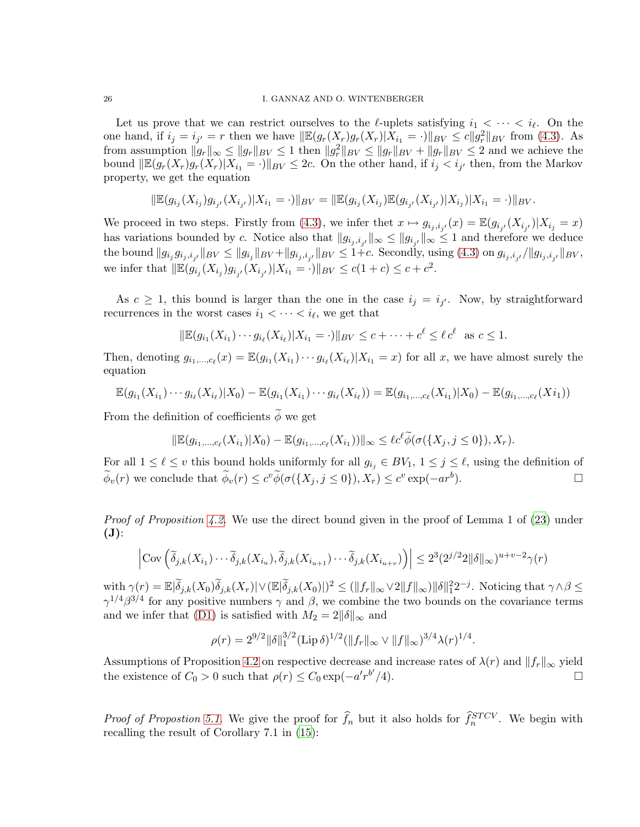Let us prove that we can restrict ourselves to the  $\ell$ -uplets satisfying  $i_1 < \cdots < i_\ell$ . On the one hand, if  $i_j = i_{j'} = r$  then we have  $\|\mathbb{E}(g_r(X_r)g_r(X_r)|X_{i_1} = \cdot)\|_{BV} \le c\|g_r^2\|_{BV}$  from [\(4.3\)](#page-7-4). As from assumption  $||g_r||_{\infty} \le ||g_r||_{BV} \le 1$  then  $||g_r^2||_{BV} \le ||g_r||_{BV} + ||g_r||_{BV} \le 2$  and we achieve the bound  $\|\mathbb{E}(g_r(X_r)g_r(X_r)|X_{i_1}=\cdot)\|_{BV}\leq 2c$ . On the other hand, if  $i_j < i_{j'}$  then, from the Markov property, we get the equation

$$
\|\mathbb{E}(g_{i_j}(X_{i_j})g_{i_{j'}}(X_{i_{j'}})|X_{i_1}=\cdot)\|_{BV}=\|\mathbb{E}(g_{i_j}(X_{i_j})\mathbb{E}(g_{i_{j'}}(X_{i_{j'}})|X_{i_j})|X_{i_1}=\cdot)\|_{BV}.
$$

We proceed in two steps. Firstly from [\(4.3\)](#page-7-4), we infer thet  $x \mapsto g_{i_j,i_{j'}}(x) = \mathbb{E}(g_{i_{j'}}(X_{i_{j'}})|X_{i_j} = x)$ has variations bounded by c. Notice also that  $||g_{i_j,i_{j'}}||_{\infty} \leq ||g_{i_{j'}}||_{\infty} \leq 1$  and therefore we deduce  $\| \tanh \|\tanh g_{i_j} g_{i_j, i_{j'}}\|_{BV} \leq \| g_{i_j}\|_{BV} + \| g_{i_j, i_{j'}}\|_{BV} \leq 1 + c.$  Secondly, using  $(4.3)$  on  $g_{i_j, i_{j'}}/\| g_{i_j, i_{j'}}\|_{BV},$ we infer that  $\|\mathbb{E}(\mathcal{G}_{i_j}(X_{i_j})\mathcal{G}_{i_{j'}}(X_{i_{j'}})|X_{i_1}=\cdot)\|_{BV} \le c(1+c) \le c+c^2$ .

As  $c \geq 1$ , this bound is larger than the one in the case  $i_j = i_{j'}$ . Now, by straightforward recurrences in the worst cases  $i_1 < \cdots < i_\ell$ , we get that

$$
\|\mathbb{E}(g_{i_1}(X_{i_1})\cdots g_{i_\ell}(X_{i_\ell})|X_{i_1}=\cdot)\|_{BV}\leq c+\cdots+c^{\ell}\leq \ell c^{\ell} \text{ as } c\leq 1.
$$

Then, denoting  $g_{i_1,\dots,i_\ell}(x) = \mathbb{E}(g_{i_1}(X_{i_1})\cdots g_{i_\ell}(X_{i_\ell}) | X_{i_1} = x)$  for all x, we have almost surely the equation

$$
\mathbb{E}(g_{i_1}(X_{i_1})\cdots g_{i_\ell}(X_{i_\ell})|X_0) - \mathbb{E}(g_{i_1}(X_{i_1})\cdots g_{i_\ell}(X_{i_\ell})) = \mathbb{E}(g_{i_1,\ldots,c_\ell}(X_{i_1})|X_0) - \mathbb{E}(g_{i_1,\ldots,c_\ell}(X_{i_1}))
$$

From the definition of coefficients  $\phi$  we get

$$
\|\mathbb{E}(g_{i_1,\dots,c_\ell}(X_{i_1})|X_0) - \mathbb{E}(g_{i_1,\dots,c_\ell}(X_{i_1}))\|_{\infty} \leq \ell c^\ell \widetilde{\phi}(\sigma(\{X_j,j\leq 0\}),X_r).
$$

For all  $1 \leq \ell \leq v$  this bound holds uniformly for all  $g_{i_j} \in BV_1$ ,  $1 \leq j \leq \ell$ , using the definition of  $\phi_v(r)$  we conclude that  $\phi_v(r) \leq c^v \phi(\sigma(\lbrace X_j, j \leq 0 \rbrace), X_r) \leq c^v \exp(-ar^b)$ ).  $\qquad \qquad \Box$ 

*Proof of Proposition [4.2.](#page-9-0)* We use the direct bound given in the proof of Lemma 1 of  $(23)$  under  $(\mathbf{J})$ :

$$
\left| \text{Cov}\left( \widetilde{\delta}_{j,k}(X_{i_1}) \cdots \widetilde{\delta}_{j,k}(X_{i_u}), \widetilde{\delta}_{j,k}(X_{i_{u+1}}) \cdots \widetilde{\delta}_{j,k}(X_{i_{u+v}}) \right) \right| \leq 2^3 (2^{j/2} 2 \|\delta\|_{\infty})^{u+v-2} \gamma(r)
$$

 $\text{with } \gamma(r) = \mathbb{E}|\widetilde{\delta}_{j,k}(X_0)\widetilde{\delta}_{j,k}(X_r)| \vee (\mathbb{E}|\widetilde{\delta}_{j,k}(X_0)|)^2 \le (\|f_r\|_{\infty} \vee 2\|f\|_{\infty}) \|\delta\|_{1}^{2} 2^{-j}.$  Noticing that  $\gamma \wedge \beta \le$  $\gamma^{1/4}\beta^{3/4}$  for any positive numbers  $\gamma$  and  $\beta$ , we combine the two bounds on the covariance terms and we infer that [\(D1\)](#page-4-2) is satisfied with  $M_2 = 2||\delta||_{\infty}$  and

$$
\rho(r) = 2^{9/2} \|\delta\|_1^{3/2} (\text{Lip}\,\delta)^{1/2} (\|f_r\|_\infty \vee \|f\|_\infty)^{3/4} \lambda(r)^{1/4}.
$$

Assumptions of Proposition [4.2](#page-9-0) on respective decrease and increase rates of  $\lambda(r)$  and  $||f_r||_{\infty}$  yield<br>the existence of  $C_0 > 0$  such that  $\rho(r) \leq C_0 \exp(-a'r^{b'}/4)$ . the existence of  $C_0 > 0$  such that  $\rho(r) \le C_0 \exp(-a'r^{b'}$  $/4$ ).

<span id="page-26-0"></span>*Proof of Propostion [5.1.](#page-16-1)* We give the proof for  $\hat{f}_n$  but it also holds for  $\hat{f}_n^{STCV}$ . We begin with recalling the result of Corollary 7.1 in [\(15\)](#page-28-15):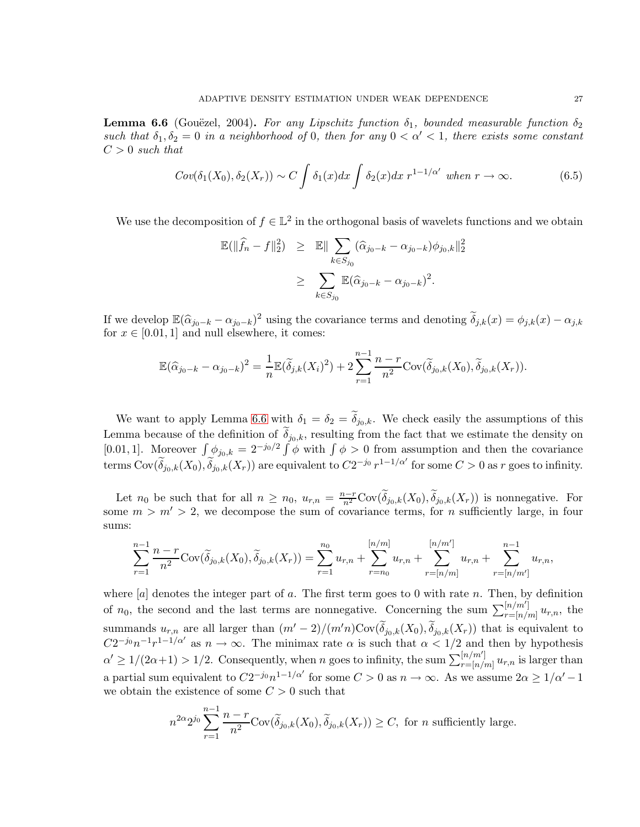**Lemma 6.6** (Gouëzel, 2004). For any Lipschitz function  $\delta_1$ , bounded measurable function  $\delta_2$ such that  $\delta_1, \delta_2 = 0$  in a neighborhood of 0, then for any  $0 < \alpha' < 1$ , there exists some constant  $C > 0$  such that

$$
Cov(\delta_1(X_0), \delta_2(X_r)) \sim C \int \delta_1(x) dx \int \delta_2(x) dx r^{1-1/\alpha'} \text{ when } r \to \infty. \tag{6.5}
$$

We use the decomposition of  $f \in \mathbb{L}^2$  in the orthogonal basis of wavelets functions and we obtain

$$
\mathbb{E}(\|\widehat{f}_n - f\|_2^2) \geq \mathbb{E} \|\sum_{k \in S_{j_0}} (\widehat{\alpha}_{j_0 - k} - \alpha_{j_0 - k}) \phi_{j_0, k}\|_2^2
$$
  

$$
\geq \sum_{k \in S_{j_0}} \mathbb{E}(\widehat{\alpha}_{j_0 - k} - \alpha_{j_0 - k})^2.
$$

If we develop  $\mathbb{E}(\hat{\alpha}_{j_0-k} - \alpha_{j_0-k})^2$  using the covariance terms and denoting  $\tilde{\delta}_{j,k}(x) = \phi_{j,k}(x) - \alpha_{j,k}$ for  $x \in [0.01, 1]$  and null elsewhere, it comes:

$$
\mathbb{E}(\widehat{\alpha}_{j_0-k} - \alpha_{j_0-k})^2 = \frac{1}{n} \mathbb{E}(\widetilde{\delta}_{j,k}(X_i)^2) + 2 \sum_{r=1}^{n-1} \frac{n-r}{n^2} \text{Cov}(\widetilde{\delta}_{j_0,k}(X_0), \widetilde{\delta}_{j_0,k}(X_r)).
$$

We want to apply Lemma [6.6](#page-26-0) with  $\delta_1 = \delta_2 = \delta_{j_0,k}$ . We check easily the assumptions of this Lemma because of the definition of  $\delta_{j_0,k}$ , resulting from the fact that we estimate the density on [0.01, 1]. Moreover  $\int \phi_{j_0,k} = 2^{-j_0/2} \int \phi$  with  $\int \phi > 0$  from assumption and then the covariance terms  $Cov(\widetilde{\delta}_{j_0,k}(X_0), \widetilde{\delta}_{j_0,k}(X_r))$  are equivalent to  $C2^{-j_0} r^{1-1/\alpha'}$  for some  $C > 0$  as r goes to infinity.

Let  $n_0$  be such that for all  $n \ge n_0$ ,  $u_{r,n} = \frac{n-r}{n^2} \text{Cov}(\widetilde{\delta}_{j_0,k}(X_0), \widetilde{\delta}_{j_0,k}(X_r))$  is nonnegative. For some  $m > m' > 2$ , we decompose the sum of covariance terms, for *n* sufficiently large, in four sums:

$$
\sum_{r=1}^{n-1} \frac{n-r}{n^2} \text{Cov}(\widetilde{\delta}_{j_0,k}(X_0), \widetilde{\delta}_{j_0,k}(X_r)) = \sum_{r=1}^{n_0} u_{r,n} + \sum_{r=n_0}^{\lfloor n/m \rfloor} u_{r,n} + \sum_{r=\lfloor n/m \rfloor}^{n \lfloor n/m' \rfloor} u_{r,n} + \sum_{r=\lfloor n/m' \rfloor}^{n-1} u_{r,n},
$$

where  $[a]$  denotes the integer part of a. The first term goes to 0 with rate n. Then, by definition of  $n_0$ , the second and the last terms are nonnegative. Concerning the sum  $\sum_{r= [n/n]}^{[n/m']}$  $\prod_{r=[n/m]}^{[n/m]} u_{r,n}$ , the summands  $u_{r,n}$  are all larger than  $(m'-2)/(m'n)Cov(\tilde{\delta}_{j_0,k}(X_0), \tilde{\delta}_{j_0,k}(X_r))$  that is equivalent to  $C2^{-j_0}n^{-1}r^{1-i/\alpha'}$  as  $n \to \infty$ . The minimax rate  $\alpha$  is such that  $\alpha < 1/2$  and then by hypothesis  $\alpha' \geq 1/(2\alpha+1) > 1/2$ . Consequently, when n goes to infinity, the sum  $\sum_{r=[n/p]}^{[n/m]}$  $\prod_{r=[n/m]}^{n/m} u_{r,n}$  is larger than a partial sum equivalent to  $C2^{-j_0}n^{1-1/\alpha'}$  for some  $C > 0$  as  $n \to \infty$ . As we assume  $2\alpha \geq 1/\alpha' - 1$ we obtain the existence of some  $C > 0$  such that

$$
n^{2\alpha} 2^{j_0} \sum_{r=1}^{n-1} \frac{n-r}{n^2} \text{Cov}(\widetilde{\delta}_{j_0,k}(X_0), \widetilde{\delta}_{j_0,k}(X_r)) \ge C, \text{ for } n \text{ sufficiently large.}
$$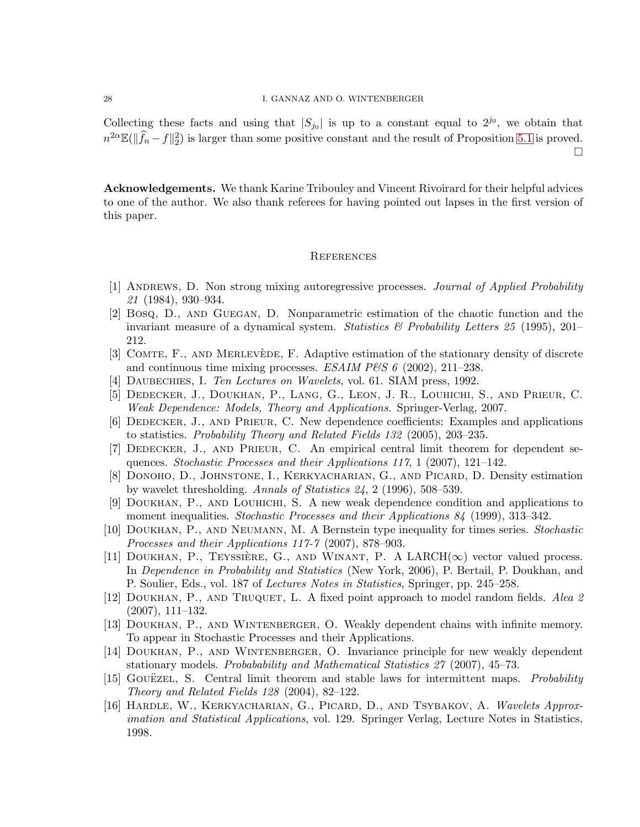#### 28 I. GANNAZ AND O. WINTENBERGER

Collecting these facts and using that  $|S_{j0}|$  is up to a constant equal to  $2^{j_0}$ , we obtain that  $n^{2\alpha} \mathbb{E}(\|\widehat{f}_n - f\|_2^2)$  is larger than some positive constant and the result of Proposition [5.1](#page-16-1) is proved.

 $\Box$ 

Acknowledgements. We thank Karine Tribouley and Vincent Rivoirard for their helpful advices to one of the author. We also thank referees for having pointed out lapses in the first version of this paper.

#### **REFERENCES**

- <span id="page-28-3"></span>[1] Andrews, D. Non strong mixing autoregressive processes. Journal of Applied Probability 21 (1984), 930–934.
- <span id="page-28-6"></span>[2] Bosq, D., and Guegan, D. Nonparametric estimation of the chaotic function and the invariant measure of a dynamical system. Statistics  $\mathcal{B}$  Probability Letters 25 (1995), 201– 212.
- <span id="page-28-2"></span>[3] COMTE, F., AND MERLEVÈDE, F. Adaptive estimation of the stationary density of discrete and continuous time mixing processes. ESAIM P&S  $6$  (2002), 211–238.
- <span id="page-28-9"></span>[4] Daubechies, I. Ten Lectures on Wavelets, vol. 61. SIAM press, 1992.
- <span id="page-28-4"></span>[5] Dedecker, J., Doukhan, P., Lang, G., Leon, J. R., Louhichi, S., and Prieur, C. Weak Dependence: Models, Theory and Applications. Springer-Verlag, 2007.
- <span id="page-28-5"></span>[6] Dedecker, J., and Prieur, C. New dependence coefficients: Examples and applications to statistics. Probability Theory and Related Fields 132 (2005), 203–235.
- <span id="page-28-10"></span>[7] Dedecker, J., and Prieur, C. An empirical central limit theorem for dependent sequences. Stochastic Processes and their Applications 117, 1 (2007), 121–142.
- <span id="page-28-0"></span>[8] DONOHO, D., JOHNSTONE, I., KERKYACHARIAN, G., AND PICARD, D. Density estimation by wavelet thresholding. Annals of Statistics 24, 2 (1996), 508–539.
- <span id="page-28-1"></span>[9] Doukhan, P., and Louhichi, S. A new weak dependence condition and applications to moment inequalities. Stochastic Processes and their Applications 84 (1999), 313-342.
- <span id="page-28-8"></span>[10] Doukhan, P., and Neumann, M. A Bernstein type inequality for times series. Stochastic Processes and their Applications 117-7 (2007), 878–903.
- <span id="page-28-12"></span>[11] DOUKHAN, P., TEYSSIÈRE, G., AND WINANT, P. A LARCH( $\infty$ ) vector valued process. In Dependence in Probability and Statistics (New York, 2006), P. Bertail, P. Doukhan, and P. Soulier, Eds., vol. 187 of Lectures Notes in Statistics, Springer, pp. 245–258.
- <span id="page-28-11"></span>[12] DOUKHAN, P., AND TRUQUET, L. A fixed point approach to model random fields. Alea 2 (2007), 111–132.
- <span id="page-28-13"></span>[13] DOUKHAN, P., AND WINTENBERGER, O. Weakly dependent chains with infinite memory. To appear in Stochastic Processes and their Applications.
- <span id="page-28-7"></span>[14] Doukhan, P., and Wintenberger, O. Invariance principle for new weakly dependent stationary models. Probabability and Mathematical Statistics 27 (2007), 45–73.
- <span id="page-28-15"></span>[15] GOUËZEL, S. Central limit theorem and stable laws for intermittent maps. *Probability* Theory and Related Fields 128 (2004), 82–122.
- <span id="page-28-14"></span>[16] Hardle, W., Kerkyacharian, G., Picard, D., and Tsybakov, A. Wavelets Approximation and Statistical Applications, vol. 129. Springer Verlag, Lecture Notes in Statistics, 1998.